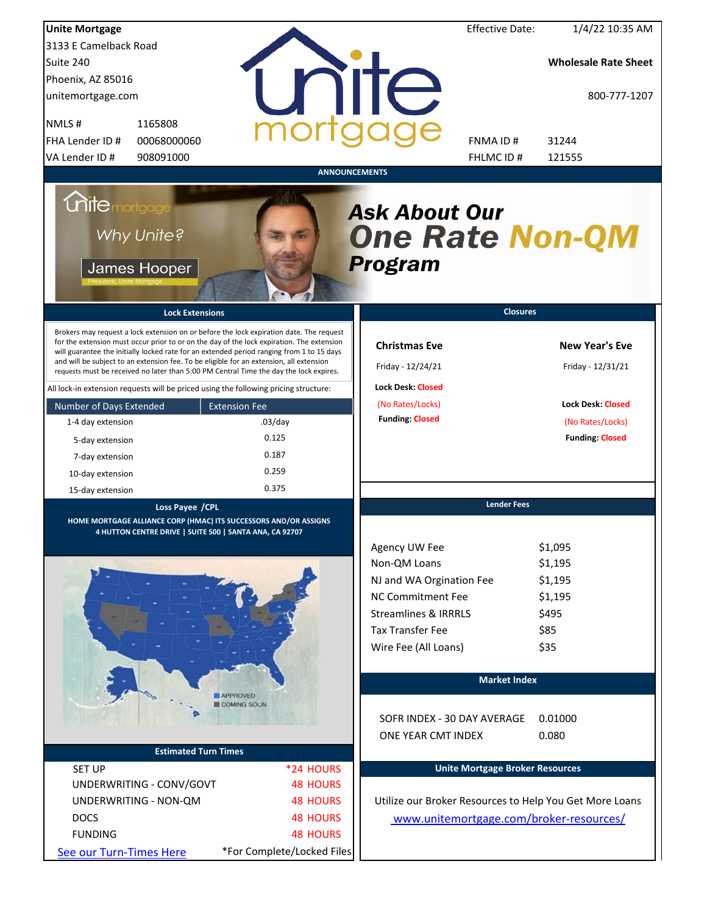| <b>Unite Mortgage</b>                                                                                                                                                                                                                                                                                                                                                                                                                                                                                                                                                                                                                                                                                                                 |                                                                              |                                                                                                                                                                                         | <b>Effective Date:</b> | 1/4/22 10:35 AM                                                                                                      |
|---------------------------------------------------------------------------------------------------------------------------------------------------------------------------------------------------------------------------------------------------------------------------------------------------------------------------------------------------------------------------------------------------------------------------------------------------------------------------------------------------------------------------------------------------------------------------------------------------------------------------------------------------------------------------------------------------------------------------------------|------------------------------------------------------------------------------|-----------------------------------------------------------------------------------------------------------------------------------------------------------------------------------------|------------------------|----------------------------------------------------------------------------------------------------------------------|
| 3133 E Camelback Road                                                                                                                                                                                                                                                                                                                                                                                                                                                                                                                                                                                                                                                                                                                 |                                                                              |                                                                                                                                                                                         |                        |                                                                                                                      |
| Suite 240                                                                                                                                                                                                                                                                                                                                                                                                                                                                                                                                                                                                                                                                                                                             |                                                                              |                                                                                                                                                                                         |                        | <b>Wholesale Rate Sheet</b>                                                                                          |
| Phoenix, AZ 85016                                                                                                                                                                                                                                                                                                                                                                                                                                                                                                                                                                                                                                                                                                                     |                                                                              |                                                                                                                                                                                         |                        |                                                                                                                      |
| unitemortgage.com                                                                                                                                                                                                                                                                                                                                                                                                                                                                                                                                                                                                                                                                                                                     |                                                                              | <b>TITE</b>                                                                                                                                                                             |                        | 800-777-1207                                                                                                         |
| 1165808<br>NMLS#                                                                                                                                                                                                                                                                                                                                                                                                                                                                                                                                                                                                                                                                                                                      |                                                                              |                                                                                                                                                                                         |                        |                                                                                                                      |
| FHA Lender ID #<br>00068000060                                                                                                                                                                                                                                                                                                                                                                                                                                                                                                                                                                                                                                                                                                        |                                                                              |                                                                                                                                                                                         | FNMA ID#               | 31244                                                                                                                |
| VA Lender ID #<br>908091000                                                                                                                                                                                                                                                                                                                                                                                                                                                                                                                                                                                                                                                                                                           |                                                                              |                                                                                                                                                                                         | FHLMC ID#              | 121555                                                                                                               |
| <b>Unite</b> mortgage<br>Why Unite?<br>James Hooper<br><b>Lock Extensions</b><br>Brokers may request a lock extension on or before the lock expiration date. The request<br>for the extension must occur prior to or on the day of the lock expiration. The extension<br>will guarantee the initially locked rate for an extended period ranging from 1 to 15 days<br>and will be subject to an extension fee. To be eligible for an extension, all extension<br>requests must be received no later than 5:00 PM Central Time the day the lock expires.<br>All lock-in extension requests will be priced using the following pricing structure:<br>Number of Days Extended<br>1-4 day extension<br>5-day extension<br>7-day extension | <b>ANNOUNCEMENTS</b><br><b>Extension Fee</b><br>$.03$ /day<br>0.125<br>0.187 | <b>Ask About Our</b><br><b>One Rate Non-QM</b><br><b>Program</b><br><b>Christmas Eve</b><br>Friday - 12/24/21<br><b>Lock Desk: Closed</b><br>(No Rates/Locks)<br><b>Funding: Closed</b> | <b>Closures</b>        | <b>New Year's Eve</b><br>Friday - 12/31/21<br><b>Lock Desk: Closed</b><br>(No Rates/Locks)<br><b>Funding: Closed</b> |
| 10-day extension                                                                                                                                                                                                                                                                                                                                                                                                                                                                                                                                                                                                                                                                                                                      | 0.259<br>0.375                                                               |                                                                                                                                                                                         |                        |                                                                                                                      |
| 15-day extension                                                                                                                                                                                                                                                                                                                                                                                                                                                                                                                                                                                                                                                                                                                      |                                                                              |                                                                                                                                                                                         | <b>Lender Fees</b>     |                                                                                                                      |
| Loss Payee / CPL<br>HOME MORTGAGE ALLIANCE CORP (HMAC) ITS SUCCESSORS AND/OR ASSIGNS                                                                                                                                                                                                                                                                                                                                                                                                                                                                                                                                                                                                                                                  |                                                                              |                                                                                                                                                                                         |                        |                                                                                                                      |
| 4 HUTTON CENTRE DRIVE   SUITE 500   SANTA ANA, CA 92707                                                                                                                                                                                                                                                                                                                                                                                                                                                                                                                                                                                                                                                                               |                                                                              |                                                                                                                                                                                         |                        |                                                                                                                      |
|                                                                                                                                                                                                                                                                                                                                                                                                                                                                                                                                                                                                                                                                                                                                       |                                                                              | Agency UW Fee                                                                                                                                                                           |                        | \$1,095                                                                                                              |
|                                                                                                                                                                                                                                                                                                                                                                                                                                                                                                                                                                                                                                                                                                                                       |                                                                              | Non-QM Loans                                                                                                                                                                            |                        | \$1,195                                                                                                              |
|                                                                                                                                                                                                                                                                                                                                                                                                                                                                                                                                                                                                                                                                                                                                       |                                                                              | NJ and WA Orgination Fee                                                                                                                                                                |                        | \$1,195                                                                                                              |
|                                                                                                                                                                                                                                                                                                                                                                                                                                                                                                                                                                                                                                                                                                                                       |                                                                              | <b>NC Commitment Fee</b>                                                                                                                                                                |                        | \$1,195                                                                                                              |
|                                                                                                                                                                                                                                                                                                                                                                                                                                                                                                                                                                                                                                                                                                                                       |                                                                              | <b>Streamlines &amp; IRRRLS</b>                                                                                                                                                         |                        | \$495                                                                                                                |
|                                                                                                                                                                                                                                                                                                                                                                                                                                                                                                                                                                                                                                                                                                                                       |                                                                              | <b>Tax Transfer Fee</b>                                                                                                                                                                 |                        | \$85                                                                                                                 |
|                                                                                                                                                                                                                                                                                                                                                                                                                                                                                                                                                                                                                                                                                                                                       |                                                                              | Wire Fee (All Loans)                                                                                                                                                                    |                        | \$35                                                                                                                 |
|                                                                                                                                                                                                                                                                                                                                                                                                                                                                                                                                                                                                                                                                                                                                       |                                                                              |                                                                                                                                                                                         | <b>Market Index</b>    |                                                                                                                      |
|                                                                                                                                                                                                                                                                                                                                                                                                                                                                                                                                                                                                                                                                                                                                       | <b>APPROVED</b>                                                              |                                                                                                                                                                                         |                        |                                                                                                                      |
|                                                                                                                                                                                                                                                                                                                                                                                                                                                                                                                                                                                                                                                                                                                                       | COMING SOON                                                                  | SOFR INDEX - 30 DAY AVERAGE<br>ONE YEAR CMT INDEX                                                                                                                                       |                        | 0.01000<br>0.080                                                                                                     |
| <b>Estimated Turn Times</b>                                                                                                                                                                                                                                                                                                                                                                                                                                                                                                                                                                                                                                                                                                           |                                                                              |                                                                                                                                                                                         |                        |                                                                                                                      |
| <b>SET UP</b>                                                                                                                                                                                                                                                                                                                                                                                                                                                                                                                                                                                                                                                                                                                         | *24 HOURS                                                                    | <b>Unite Mortgage Broker Resources</b>                                                                                                                                                  |                        |                                                                                                                      |
| UNDERWRITING - CONV/GOVT                                                                                                                                                                                                                                                                                                                                                                                                                                                                                                                                                                                                                                                                                                              | <b>48 HOURS</b>                                                              |                                                                                                                                                                                         |                        |                                                                                                                      |
| UNDERWRITING - NON-QM                                                                                                                                                                                                                                                                                                                                                                                                                                                                                                                                                                                                                                                                                                                 | <b>48 HOURS</b>                                                              | Utilize our Broker Resources to Help You Get More Loans                                                                                                                                 |                        |                                                                                                                      |
| <b>DOCS</b>                                                                                                                                                                                                                                                                                                                                                                                                                                                                                                                                                                                                                                                                                                                           | <b>48 HOURS</b>                                                              | www.unitemortgage.com/broker-resources/                                                                                                                                                 |                        |                                                                                                                      |
| <b>FUNDING</b>                                                                                                                                                                                                                                                                                                                                                                                                                                                                                                                                                                                                                                                                                                                        | <b>48 HOURS</b>                                                              |                                                                                                                                                                                         |                        |                                                                                                                      |
| See our Turn-Times Here                                                                                                                                                                                                                                                                                                                                                                                                                                                                                                                                                                                                                                                                                                               | *For Complete/Locked Files                                                   |                                                                                                                                                                                         |                        |                                                                                                                      |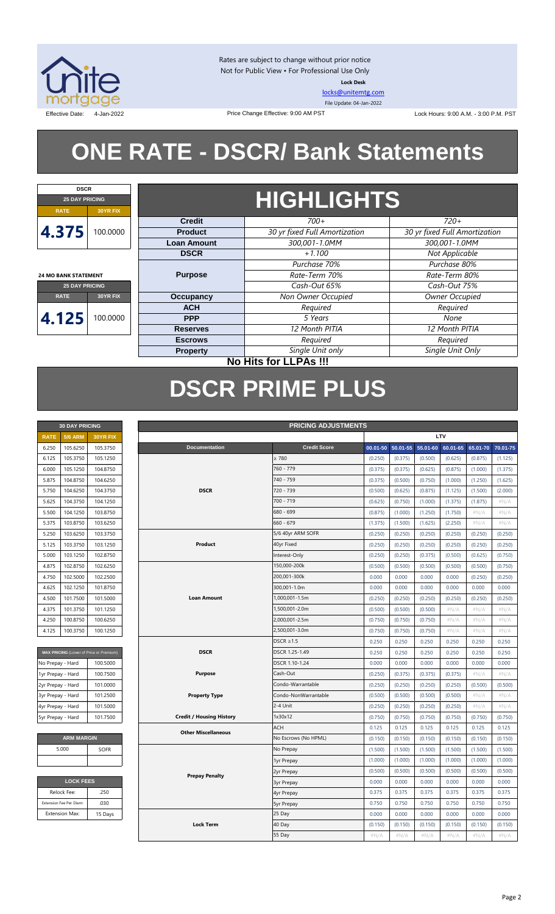

Rates are subject to change without prior notice Not for Public View • For Professional Use Only **Lock Desk**

[locks@unitemtg.com](mailto:locks@unitemtg.com) File Update: 04-Jan-2022

Effective Date: 4-Jan-2022 Price Change Effective: 9:00 AM PST Lock Hours: 9:00 A.M. - 3:00 P.M. PST

# **ONE RATE - DSCR/ Bank Statements**

Price Change Effective: 9:00 AM PST



**24 MO BANK STATEMENT**

## **HIGHLIGHTS**

| $\cdots$              |          |                    |                               |                               |  |  |
|-----------------------|----------|--------------------|-------------------------------|-------------------------------|--|--|
|                       |          | <b>Credit</b>      | $700+$                        | $720+$                        |  |  |
| 4.375                 | 100.0000 | <b>Product</b>     | 30 yr fixed Full Amortization | 30 yr fixed Full Amortization |  |  |
|                       |          | <b>Loan Amount</b> | 300,001-1.0MM                 | 300,001-1.0MM                 |  |  |
|                       |          | <b>DSCR</b>        | $+1.100$                      | Not Applicable                |  |  |
|                       |          |                    | Purchase 70%                  | Purchase 80%                  |  |  |
| 4 MO BANK STATEMENT   |          | <b>Purpose</b>     | Rate-Term 70%                 | Rate-Term 80%                 |  |  |
| <b>25 DAY PRICING</b> |          |                    | Cash-Out 65%                  | Cash-Out 75%                  |  |  |
| <b>RATE</b>           | 30YR FIX | Occupancy          | Non Owner Occupied            | Owner Occupied                |  |  |
|                       |          | <b>ACH</b>         | Required                      | Required                      |  |  |
| 4.125                 | 100.0000 | <b>PPP</b>         | 5 Years                       | None                          |  |  |
|                       |          | <b>Reserves</b>    | 12 Month PITIA                | 12 Month PITIA                |  |  |
|                       |          | <b>Escrows</b>     | Required                      | Required                      |  |  |
|                       |          | <b>Property</b>    | Single Unit only              | Single Unit Only              |  |  |
|                       |          |                    |                               |                               |  |  |

### **No Hits for LLPAs !!!**

## **DSCR PRIME PLUS**

| <b>30 DAY PRICING</b> |                |                 |  |  |  |  |  |
|-----------------------|----------------|-----------------|--|--|--|--|--|
| <b>RATE</b>           | <b>5/6 ARM</b> | <b>30YR FIX</b> |  |  |  |  |  |
| 6.250                 | 105.6250       | 105.3750        |  |  |  |  |  |
| 6.125                 | 105.3750       | 105.1250        |  |  |  |  |  |
| 6.000                 | 105.1250       | 104.8750        |  |  |  |  |  |
| 5.875                 | 104.8750       | 104.6250        |  |  |  |  |  |
| 5.750                 | 104.6250       | 104.3750        |  |  |  |  |  |
| 5.625                 | 104.3750       | 104.1250        |  |  |  |  |  |
| 5.500                 | 104.1250       | 103.8750        |  |  |  |  |  |
| 5.375                 | 103.8750       | 103.6250        |  |  |  |  |  |
| 5.250                 | 103.6250       | 103.3750        |  |  |  |  |  |
| 5.125                 | 103.3750       | 103.1250        |  |  |  |  |  |
| 5.000                 | 103.1250       | 102.8750        |  |  |  |  |  |
| 4.875                 | 102.8750       | 102.6250        |  |  |  |  |  |
| 4.750                 | 102.5000       | 102.2500        |  |  |  |  |  |
| 4625                  | 102.1250       | 101.8750        |  |  |  |  |  |
| 4.500                 | 101.7500       | 101.5000        |  |  |  |  |  |
| 4.375                 | 101.3750       | 101.1250        |  |  |  |  |  |
| 4250                  | 100.8750       | 100.6250        |  |  |  |  |  |
| 4.125                 | 100.3750       | 100.1250        |  |  |  |  |  |

| MAX PRICING (Lower of Price or Premium) |          |
|-----------------------------------------|----------|
| No Prepay - Hard                        | 100,5000 |
| 1yr Prepay - Hard                       | 100.7500 |
| 2yr Prepay - Hard                       | 101.0000 |
| 3yr Prepay - Hard                       | 101.2500 |
| 4yr Prepay - Hard                       | 101.5000 |
| 5yr Prepay - Hard                       | 101.7500 |

| <b>ARM MARGIN</b> |             |  |  |  |  |  |  |
|-------------------|-------------|--|--|--|--|--|--|
| 5.000             | <b>SOFR</b> |  |  |  |  |  |  |
|                   |             |  |  |  |  |  |  |

| <b>LOCK FEES</b>        |         |  |  |  |  |  |  |
|-------------------------|---------|--|--|--|--|--|--|
| Relock Fee:             | .250    |  |  |  |  |  |  |
| Extension Fee Per Diem: | .030    |  |  |  |  |  |  |
| <b>Extension Max:</b>   | 15 Days |  |  |  |  |  |  |
|                         |         |  |  |  |  |  |  |

| LTV<br><b>5/6 ARM</b><br><b>RATE</b><br>30YR FIX<br><b>Credit Score</b><br>105.6250<br>105.3750<br><b>Documentation</b><br>50.01-55<br>55.01-60<br>6.250<br>00.01-50<br>60.01-65<br>65.01-70<br>$\geq 780$<br>105.3750<br>6.125<br>105.1250<br>(0.250)<br>(0.375)<br>(0.500)<br>(0.625)<br>(0.875)<br>(1.125)<br>104.8750<br>760 - 779<br>6.000<br>105.1250<br>(0.375)<br>(0.375)<br>(0.625)<br>(0.875)<br>(1.000)<br>(1.375)<br>104.8750<br>104.6250<br>740 - 759<br>5.875<br>(0.375)<br>(0.500)<br>(0.750)<br>(1.000)<br>(1.250)<br>(1.625)<br><b>DSCR</b><br>104.6250<br>104.3750<br>720 - 739<br>(0.500)<br>(0.625)<br>(0.875)<br>(1.500)<br>(2.000)<br>5.750<br>(1.125)<br>700 - 719<br>5.625<br>104.3750<br>104.1250<br>(0.625)<br>(0.750)<br>(1.000)<br>(1.375)<br>(1.875)<br>#N/A<br>103.8750<br>680 - 699<br>5.500<br>104.1250<br>(0.875)<br>(1.000)<br>(1.250)<br>(1.750)<br>#N/A<br>#N/A<br>660 - 679<br>$\#N/A$<br>5.375<br>103.8750<br>103.6250<br>(1.375)<br>(1.500)<br>(1.625)<br>(2.250)<br>#N/A<br>103.6250<br>103.3750<br>5/6 40yr ARM SOFR<br>5.250<br>(0.250)<br>(0.250)<br>(0.250)<br>(0.250)<br>(0.250)<br>(0.250)<br>Product<br>5.125<br>103.3750<br>103.1250<br>40yr Fixed<br>(0.250)<br>(0.250)<br>(0.250)<br>(0.250)<br>(0.250)<br>(0.250)<br>Interest-Only<br>102.8750<br>5.000<br>103.1250<br>(0.250)<br>(0.250)<br>(0.375)<br>(0.500)<br>(0.625)<br>(0.750)<br>102.8750<br>102.6250<br>150,000-200k<br>4.875<br>(0.500)<br>(0.500)<br>(0.500)<br>(0.500)<br>(0.500)<br>(0.750)<br>102.5000<br>102.2500<br>200,001-300k<br>4.750<br>0.000<br>0.000<br>0.000<br>0.000<br>(0.250)<br>(0.250)<br>300,001-1.0m<br>102.1250<br>101.8750<br>0.000<br>0.000<br>0.000<br>0.000<br>0.000<br>0.000<br>4.625<br>4.500<br>101.7500<br>101.5000<br><b>Loan Amount</b><br>1,000,001-1.5m<br>(0.250)<br>(0.250)<br>(0.250)<br>(0.250)<br>(0.250)<br>(0.250)<br>1,500,001-2.0m<br>4.375<br>101.3750<br>101.1250<br>(0.500)<br>(0.500)<br>(0.500)<br>$\#N/A$<br>$\#N/A$<br>$\#N/A$<br>2,000,001-2.5m<br>4.250<br>100.8750<br>100.6250<br>(0.750)<br>(0.750)<br>(0.750)<br>$\#N/A$<br>$\#N/A$<br>#N/A<br>100.3750<br>100.1250<br>2,500,001-3.0m<br>(0.750)<br>(0.750)<br>4.125<br>(0.750)<br>$\#N/A$<br>#N/A<br>#N/A<br>$DSCR \geq 1.5$<br>0.250<br>0.250<br>0.250<br>0.250<br>0.250<br>0.250<br><b>DSCR</b><br>DSCR 1.25-1.49<br>0.250<br>MAX PRICING (Lower of Price or Premium)<br>0.250<br>0.250<br>0.250<br>0.250<br>0.250<br>DSCR 1.10-1.24<br>0.000<br>0.000<br>No Prepay - Hard<br>100.5000<br>0.000<br>0.000<br>0.000<br>0.000<br>100.7500<br>Cash-Out<br>#N/A<br>#N/A<br>1yr Prepay - Hard<br><b>Purpose</b><br>(0.250)<br>(0.375)<br>(0.375)<br>(0.375)<br>101.0000<br>Condo-Warrantable<br>2yr Prepay - Hard<br>(0.250)<br>(0.250)<br>(0.250)<br>(0.250)<br>(0.500)<br>(0.500)<br><b>Property Type</b><br>Condo-NonWarrantable<br>3yr Prepay - Hard<br>101.2500<br>(0.500)<br>(0.500)<br>(0.500)<br>(0.500)<br>#N/A<br>#N/A<br>2-4 Unit<br>4yr Prepay - Hard<br>101.5000<br>(0.250)<br>$\#N/A$<br>(0.250)<br>(0.250)<br>(0.250)<br>$\#N/A$<br>101.7500<br><b>Credit / Housing History</b><br>1x30x12<br>5yr Prepay - Hard<br>(0.750)<br>(0.750)<br>(0.750)<br>(0.750)<br>(0.750)<br>(0.750)<br>ACH<br>0.125<br>0.125<br>0.125<br>0.125<br>0.125<br>0.125<br><b>Other Miscellaneous</b><br><b>ARM MARGIN</b><br>No Escrows (No HPML)<br>(0.150)<br>(0.150)<br>(0.150)<br>(0.150)<br>(0.150)<br>(0.150)<br>5.000<br>No Prepay<br>SOFR<br>(1.500)<br>(1.500)<br>(1.500)<br>(1.500)<br>(1.500)<br>(1.500)<br>(1.000)<br>(1.000)<br>(1.000)<br>(1.000)<br>(1.000)<br>(1.000)<br>1yr Prepay<br>(0.500)<br>(0.500)<br>(0.500)<br>(0.500)<br>(0.500)<br>(0.500)<br>2yr Prepay<br><b>Prepay Penalty</b><br><b>LOCK FEES</b><br>0.000<br>0.000<br>0.000<br>0.000<br>0.000<br>0.000<br><b>3yr Prepay</b><br>Relock Fee:<br>.250<br>0.375<br>0.375<br>0.375<br>0.375<br>0.375<br>0.375<br>4yr Prepay<br>.030<br>Extension Fee Per Diem:<br>0.750<br>0.750<br>0.750<br>0.750<br>0.750<br>0.750<br><b>5yr Prepay</b><br><b>Extension Max:</b><br>25 Day<br>0.000<br>0.000<br>0.000<br>0.000<br>0.000<br>0.000<br>15 Days<br><b>Lock Term</b><br>40 Day<br>(0.150)<br>(0.150)<br>(0.150)<br>(0.150)<br>(0.150)<br>(0.150)<br>55 Day<br>#N/A<br>#N/A<br>#N/A<br>#N/A<br>#N/A<br>#N/A | <b>PRICING ADJUSTMENTS</b><br><b>30 DAY PRICING</b> |  |  |  |  |  |  |  |  |  |
|--------------------------------------------------------------------------------------------------------------------------------------------------------------------------------------------------------------------------------------------------------------------------------------------------------------------------------------------------------------------------------------------------------------------------------------------------------------------------------------------------------------------------------------------------------------------------------------------------------------------------------------------------------------------------------------------------------------------------------------------------------------------------------------------------------------------------------------------------------------------------------------------------------------------------------------------------------------------------------------------------------------------------------------------------------------------------------------------------------------------------------------------------------------------------------------------------------------------------------------------------------------------------------------------------------------------------------------------------------------------------------------------------------------------------------------------------------------------------------------------------------------------------------------------------------------------------------------------------------------------------------------------------------------------------------------------------------------------------------------------------------------------------------------------------------------------------------------------------------------------------------------------------------------------------------------------------------------------------------------------------------------------------------------------------------------------------------------------------------------------------------------------------------------------------------------------------------------------------------------------------------------------------------------------------------------------------------------------------------------------------------------------------------------------------------------------------------------------------------------------------------------------------------------------------------------------------------------------------------------------------------------------------------------------------------------------------------------------------------------------------------------------------------------------------------------------------------------------------------------------------------------------------------------------------------------------------------------------------------------------------------------------------------------------------------------------------------------------------------------------------------------------------------------------------------------------------------------------------------------------------------------------------------------------------------------------------------------------------------------------------------------------------------------------------------------------------------------------------------------------------------------------------------------------------------------------------------------------------------------------------------------------------------------------------------------------------------------------------------------------------------------------------------------------------------------------------------------------------------------------------------------------------------------------------------------------------------------------------------------------------------------------------------------------------------------------------------------------------------------------------------------------------------------------------------------------------------------------------------------------------------------------------------------------|-----------------------------------------------------|--|--|--|--|--|--|--|--|--|
| 70.01-75                                                                                                                                                                                                                                                                                                                                                                                                                                                                                                                                                                                                                                                                                                                                                                                                                                                                                                                                                                                                                                                                                                                                                                                                                                                                                                                                                                                                                                                                                                                                                                                                                                                                                                                                                                                                                                                                                                                                                                                                                                                                                                                                                                                                                                                                                                                                                                                                                                                                                                                                                                                                                                                                                                                                                                                                                                                                                                                                                                                                                                                                                                                                                                                                                                                                                                                                                                                                                                                                                                                                                                                                                                                                                                                                                                                                                                                                                                                                                                                                                                                                                                                                                                                                                                                                                   |                                                     |  |  |  |  |  |  |  |  |  |
|                                                                                                                                                                                                                                                                                                                                                                                                                                                                                                                                                                                                                                                                                                                                                                                                                                                                                                                                                                                                                                                                                                                                                                                                                                                                                                                                                                                                                                                                                                                                                                                                                                                                                                                                                                                                                                                                                                                                                                                                                                                                                                                                                                                                                                                                                                                                                                                                                                                                                                                                                                                                                                                                                                                                                                                                                                                                                                                                                                                                                                                                                                                                                                                                                                                                                                                                                                                                                                                                                                                                                                                                                                                                                                                                                                                                                                                                                                                                                                                                                                                                                                                                                                                                                                                                                            |                                                     |  |  |  |  |  |  |  |  |  |
|                                                                                                                                                                                                                                                                                                                                                                                                                                                                                                                                                                                                                                                                                                                                                                                                                                                                                                                                                                                                                                                                                                                                                                                                                                                                                                                                                                                                                                                                                                                                                                                                                                                                                                                                                                                                                                                                                                                                                                                                                                                                                                                                                                                                                                                                                                                                                                                                                                                                                                                                                                                                                                                                                                                                                                                                                                                                                                                                                                                                                                                                                                                                                                                                                                                                                                                                                                                                                                                                                                                                                                                                                                                                                                                                                                                                                                                                                                                                                                                                                                                                                                                                                                                                                                                                                            |                                                     |  |  |  |  |  |  |  |  |  |
|                                                                                                                                                                                                                                                                                                                                                                                                                                                                                                                                                                                                                                                                                                                                                                                                                                                                                                                                                                                                                                                                                                                                                                                                                                                                                                                                                                                                                                                                                                                                                                                                                                                                                                                                                                                                                                                                                                                                                                                                                                                                                                                                                                                                                                                                                                                                                                                                                                                                                                                                                                                                                                                                                                                                                                                                                                                                                                                                                                                                                                                                                                                                                                                                                                                                                                                                                                                                                                                                                                                                                                                                                                                                                                                                                                                                                                                                                                                                                                                                                                                                                                                                                                                                                                                                                            |                                                     |  |  |  |  |  |  |  |  |  |
|                                                                                                                                                                                                                                                                                                                                                                                                                                                                                                                                                                                                                                                                                                                                                                                                                                                                                                                                                                                                                                                                                                                                                                                                                                                                                                                                                                                                                                                                                                                                                                                                                                                                                                                                                                                                                                                                                                                                                                                                                                                                                                                                                                                                                                                                                                                                                                                                                                                                                                                                                                                                                                                                                                                                                                                                                                                                                                                                                                                                                                                                                                                                                                                                                                                                                                                                                                                                                                                                                                                                                                                                                                                                                                                                                                                                                                                                                                                                                                                                                                                                                                                                                                                                                                                                                            |                                                     |  |  |  |  |  |  |  |  |  |
|                                                                                                                                                                                                                                                                                                                                                                                                                                                                                                                                                                                                                                                                                                                                                                                                                                                                                                                                                                                                                                                                                                                                                                                                                                                                                                                                                                                                                                                                                                                                                                                                                                                                                                                                                                                                                                                                                                                                                                                                                                                                                                                                                                                                                                                                                                                                                                                                                                                                                                                                                                                                                                                                                                                                                                                                                                                                                                                                                                                                                                                                                                                                                                                                                                                                                                                                                                                                                                                                                                                                                                                                                                                                                                                                                                                                                                                                                                                                                                                                                                                                                                                                                                                                                                                                                            |                                                     |  |  |  |  |  |  |  |  |  |
|                                                                                                                                                                                                                                                                                                                                                                                                                                                                                                                                                                                                                                                                                                                                                                                                                                                                                                                                                                                                                                                                                                                                                                                                                                                                                                                                                                                                                                                                                                                                                                                                                                                                                                                                                                                                                                                                                                                                                                                                                                                                                                                                                                                                                                                                                                                                                                                                                                                                                                                                                                                                                                                                                                                                                                                                                                                                                                                                                                                                                                                                                                                                                                                                                                                                                                                                                                                                                                                                                                                                                                                                                                                                                                                                                                                                                                                                                                                                                                                                                                                                                                                                                                                                                                                                                            |                                                     |  |  |  |  |  |  |  |  |  |
|                                                                                                                                                                                                                                                                                                                                                                                                                                                                                                                                                                                                                                                                                                                                                                                                                                                                                                                                                                                                                                                                                                                                                                                                                                                                                                                                                                                                                                                                                                                                                                                                                                                                                                                                                                                                                                                                                                                                                                                                                                                                                                                                                                                                                                                                                                                                                                                                                                                                                                                                                                                                                                                                                                                                                                                                                                                                                                                                                                                                                                                                                                                                                                                                                                                                                                                                                                                                                                                                                                                                                                                                                                                                                                                                                                                                                                                                                                                                                                                                                                                                                                                                                                                                                                                                                            |                                                     |  |  |  |  |  |  |  |  |  |
|                                                                                                                                                                                                                                                                                                                                                                                                                                                                                                                                                                                                                                                                                                                                                                                                                                                                                                                                                                                                                                                                                                                                                                                                                                                                                                                                                                                                                                                                                                                                                                                                                                                                                                                                                                                                                                                                                                                                                                                                                                                                                                                                                                                                                                                                                                                                                                                                                                                                                                                                                                                                                                                                                                                                                                                                                                                                                                                                                                                                                                                                                                                                                                                                                                                                                                                                                                                                                                                                                                                                                                                                                                                                                                                                                                                                                                                                                                                                                                                                                                                                                                                                                                                                                                                                                            |                                                     |  |  |  |  |  |  |  |  |  |
|                                                                                                                                                                                                                                                                                                                                                                                                                                                                                                                                                                                                                                                                                                                                                                                                                                                                                                                                                                                                                                                                                                                                                                                                                                                                                                                                                                                                                                                                                                                                                                                                                                                                                                                                                                                                                                                                                                                                                                                                                                                                                                                                                                                                                                                                                                                                                                                                                                                                                                                                                                                                                                                                                                                                                                                                                                                                                                                                                                                                                                                                                                                                                                                                                                                                                                                                                                                                                                                                                                                                                                                                                                                                                                                                                                                                                                                                                                                                                                                                                                                                                                                                                                                                                                                                                            |                                                     |  |  |  |  |  |  |  |  |  |
|                                                                                                                                                                                                                                                                                                                                                                                                                                                                                                                                                                                                                                                                                                                                                                                                                                                                                                                                                                                                                                                                                                                                                                                                                                                                                                                                                                                                                                                                                                                                                                                                                                                                                                                                                                                                                                                                                                                                                                                                                                                                                                                                                                                                                                                                                                                                                                                                                                                                                                                                                                                                                                                                                                                                                                                                                                                                                                                                                                                                                                                                                                                                                                                                                                                                                                                                                                                                                                                                                                                                                                                                                                                                                                                                                                                                                                                                                                                                                                                                                                                                                                                                                                                                                                                                                            |                                                     |  |  |  |  |  |  |  |  |  |
|                                                                                                                                                                                                                                                                                                                                                                                                                                                                                                                                                                                                                                                                                                                                                                                                                                                                                                                                                                                                                                                                                                                                                                                                                                                                                                                                                                                                                                                                                                                                                                                                                                                                                                                                                                                                                                                                                                                                                                                                                                                                                                                                                                                                                                                                                                                                                                                                                                                                                                                                                                                                                                                                                                                                                                                                                                                                                                                                                                                                                                                                                                                                                                                                                                                                                                                                                                                                                                                                                                                                                                                                                                                                                                                                                                                                                                                                                                                                                                                                                                                                                                                                                                                                                                                                                            |                                                     |  |  |  |  |  |  |  |  |  |
|                                                                                                                                                                                                                                                                                                                                                                                                                                                                                                                                                                                                                                                                                                                                                                                                                                                                                                                                                                                                                                                                                                                                                                                                                                                                                                                                                                                                                                                                                                                                                                                                                                                                                                                                                                                                                                                                                                                                                                                                                                                                                                                                                                                                                                                                                                                                                                                                                                                                                                                                                                                                                                                                                                                                                                                                                                                                                                                                                                                                                                                                                                                                                                                                                                                                                                                                                                                                                                                                                                                                                                                                                                                                                                                                                                                                                                                                                                                                                                                                                                                                                                                                                                                                                                                                                            |                                                     |  |  |  |  |  |  |  |  |  |
|                                                                                                                                                                                                                                                                                                                                                                                                                                                                                                                                                                                                                                                                                                                                                                                                                                                                                                                                                                                                                                                                                                                                                                                                                                                                                                                                                                                                                                                                                                                                                                                                                                                                                                                                                                                                                                                                                                                                                                                                                                                                                                                                                                                                                                                                                                                                                                                                                                                                                                                                                                                                                                                                                                                                                                                                                                                                                                                                                                                                                                                                                                                                                                                                                                                                                                                                                                                                                                                                                                                                                                                                                                                                                                                                                                                                                                                                                                                                                                                                                                                                                                                                                                                                                                                                                            |                                                     |  |  |  |  |  |  |  |  |  |
|                                                                                                                                                                                                                                                                                                                                                                                                                                                                                                                                                                                                                                                                                                                                                                                                                                                                                                                                                                                                                                                                                                                                                                                                                                                                                                                                                                                                                                                                                                                                                                                                                                                                                                                                                                                                                                                                                                                                                                                                                                                                                                                                                                                                                                                                                                                                                                                                                                                                                                                                                                                                                                                                                                                                                                                                                                                                                                                                                                                                                                                                                                                                                                                                                                                                                                                                                                                                                                                                                                                                                                                                                                                                                                                                                                                                                                                                                                                                                                                                                                                                                                                                                                                                                                                                                            |                                                     |  |  |  |  |  |  |  |  |  |
|                                                                                                                                                                                                                                                                                                                                                                                                                                                                                                                                                                                                                                                                                                                                                                                                                                                                                                                                                                                                                                                                                                                                                                                                                                                                                                                                                                                                                                                                                                                                                                                                                                                                                                                                                                                                                                                                                                                                                                                                                                                                                                                                                                                                                                                                                                                                                                                                                                                                                                                                                                                                                                                                                                                                                                                                                                                                                                                                                                                                                                                                                                                                                                                                                                                                                                                                                                                                                                                                                                                                                                                                                                                                                                                                                                                                                                                                                                                                                                                                                                                                                                                                                                                                                                                                                            |                                                     |  |  |  |  |  |  |  |  |  |
|                                                                                                                                                                                                                                                                                                                                                                                                                                                                                                                                                                                                                                                                                                                                                                                                                                                                                                                                                                                                                                                                                                                                                                                                                                                                                                                                                                                                                                                                                                                                                                                                                                                                                                                                                                                                                                                                                                                                                                                                                                                                                                                                                                                                                                                                                                                                                                                                                                                                                                                                                                                                                                                                                                                                                                                                                                                                                                                                                                                                                                                                                                                                                                                                                                                                                                                                                                                                                                                                                                                                                                                                                                                                                                                                                                                                                                                                                                                                                                                                                                                                                                                                                                                                                                                                                            |                                                     |  |  |  |  |  |  |  |  |  |
|                                                                                                                                                                                                                                                                                                                                                                                                                                                                                                                                                                                                                                                                                                                                                                                                                                                                                                                                                                                                                                                                                                                                                                                                                                                                                                                                                                                                                                                                                                                                                                                                                                                                                                                                                                                                                                                                                                                                                                                                                                                                                                                                                                                                                                                                                                                                                                                                                                                                                                                                                                                                                                                                                                                                                                                                                                                                                                                                                                                                                                                                                                                                                                                                                                                                                                                                                                                                                                                                                                                                                                                                                                                                                                                                                                                                                                                                                                                                                                                                                                                                                                                                                                                                                                                                                            |                                                     |  |  |  |  |  |  |  |  |  |
|                                                                                                                                                                                                                                                                                                                                                                                                                                                                                                                                                                                                                                                                                                                                                                                                                                                                                                                                                                                                                                                                                                                                                                                                                                                                                                                                                                                                                                                                                                                                                                                                                                                                                                                                                                                                                                                                                                                                                                                                                                                                                                                                                                                                                                                                                                                                                                                                                                                                                                                                                                                                                                                                                                                                                                                                                                                                                                                                                                                                                                                                                                                                                                                                                                                                                                                                                                                                                                                                                                                                                                                                                                                                                                                                                                                                                                                                                                                                                                                                                                                                                                                                                                                                                                                                                            |                                                     |  |  |  |  |  |  |  |  |  |
|                                                                                                                                                                                                                                                                                                                                                                                                                                                                                                                                                                                                                                                                                                                                                                                                                                                                                                                                                                                                                                                                                                                                                                                                                                                                                                                                                                                                                                                                                                                                                                                                                                                                                                                                                                                                                                                                                                                                                                                                                                                                                                                                                                                                                                                                                                                                                                                                                                                                                                                                                                                                                                                                                                                                                                                                                                                                                                                                                                                                                                                                                                                                                                                                                                                                                                                                                                                                                                                                                                                                                                                                                                                                                                                                                                                                                                                                                                                                                                                                                                                                                                                                                                                                                                                                                            |                                                     |  |  |  |  |  |  |  |  |  |
|                                                                                                                                                                                                                                                                                                                                                                                                                                                                                                                                                                                                                                                                                                                                                                                                                                                                                                                                                                                                                                                                                                                                                                                                                                                                                                                                                                                                                                                                                                                                                                                                                                                                                                                                                                                                                                                                                                                                                                                                                                                                                                                                                                                                                                                                                                                                                                                                                                                                                                                                                                                                                                                                                                                                                                                                                                                                                                                                                                                                                                                                                                                                                                                                                                                                                                                                                                                                                                                                                                                                                                                                                                                                                                                                                                                                                                                                                                                                                                                                                                                                                                                                                                                                                                                                                            |                                                     |  |  |  |  |  |  |  |  |  |
|                                                                                                                                                                                                                                                                                                                                                                                                                                                                                                                                                                                                                                                                                                                                                                                                                                                                                                                                                                                                                                                                                                                                                                                                                                                                                                                                                                                                                                                                                                                                                                                                                                                                                                                                                                                                                                                                                                                                                                                                                                                                                                                                                                                                                                                                                                                                                                                                                                                                                                                                                                                                                                                                                                                                                                                                                                                                                                                                                                                                                                                                                                                                                                                                                                                                                                                                                                                                                                                                                                                                                                                                                                                                                                                                                                                                                                                                                                                                                                                                                                                                                                                                                                                                                                                                                            |                                                     |  |  |  |  |  |  |  |  |  |
|                                                                                                                                                                                                                                                                                                                                                                                                                                                                                                                                                                                                                                                                                                                                                                                                                                                                                                                                                                                                                                                                                                                                                                                                                                                                                                                                                                                                                                                                                                                                                                                                                                                                                                                                                                                                                                                                                                                                                                                                                                                                                                                                                                                                                                                                                                                                                                                                                                                                                                                                                                                                                                                                                                                                                                                                                                                                                                                                                                                                                                                                                                                                                                                                                                                                                                                                                                                                                                                                                                                                                                                                                                                                                                                                                                                                                                                                                                                                                                                                                                                                                                                                                                                                                                                                                            |                                                     |  |  |  |  |  |  |  |  |  |
|                                                                                                                                                                                                                                                                                                                                                                                                                                                                                                                                                                                                                                                                                                                                                                                                                                                                                                                                                                                                                                                                                                                                                                                                                                                                                                                                                                                                                                                                                                                                                                                                                                                                                                                                                                                                                                                                                                                                                                                                                                                                                                                                                                                                                                                                                                                                                                                                                                                                                                                                                                                                                                                                                                                                                                                                                                                                                                                                                                                                                                                                                                                                                                                                                                                                                                                                                                                                                                                                                                                                                                                                                                                                                                                                                                                                                                                                                                                                                                                                                                                                                                                                                                                                                                                                                            |                                                     |  |  |  |  |  |  |  |  |  |
|                                                                                                                                                                                                                                                                                                                                                                                                                                                                                                                                                                                                                                                                                                                                                                                                                                                                                                                                                                                                                                                                                                                                                                                                                                                                                                                                                                                                                                                                                                                                                                                                                                                                                                                                                                                                                                                                                                                                                                                                                                                                                                                                                                                                                                                                                                                                                                                                                                                                                                                                                                                                                                                                                                                                                                                                                                                                                                                                                                                                                                                                                                                                                                                                                                                                                                                                                                                                                                                                                                                                                                                                                                                                                                                                                                                                                                                                                                                                                                                                                                                                                                                                                                                                                                                                                            |                                                     |  |  |  |  |  |  |  |  |  |
|                                                                                                                                                                                                                                                                                                                                                                                                                                                                                                                                                                                                                                                                                                                                                                                                                                                                                                                                                                                                                                                                                                                                                                                                                                                                                                                                                                                                                                                                                                                                                                                                                                                                                                                                                                                                                                                                                                                                                                                                                                                                                                                                                                                                                                                                                                                                                                                                                                                                                                                                                                                                                                                                                                                                                                                                                                                                                                                                                                                                                                                                                                                                                                                                                                                                                                                                                                                                                                                                                                                                                                                                                                                                                                                                                                                                                                                                                                                                                                                                                                                                                                                                                                                                                                                                                            |                                                     |  |  |  |  |  |  |  |  |  |
|                                                                                                                                                                                                                                                                                                                                                                                                                                                                                                                                                                                                                                                                                                                                                                                                                                                                                                                                                                                                                                                                                                                                                                                                                                                                                                                                                                                                                                                                                                                                                                                                                                                                                                                                                                                                                                                                                                                                                                                                                                                                                                                                                                                                                                                                                                                                                                                                                                                                                                                                                                                                                                                                                                                                                                                                                                                                                                                                                                                                                                                                                                                                                                                                                                                                                                                                                                                                                                                                                                                                                                                                                                                                                                                                                                                                                                                                                                                                                                                                                                                                                                                                                                                                                                                                                            |                                                     |  |  |  |  |  |  |  |  |  |
|                                                                                                                                                                                                                                                                                                                                                                                                                                                                                                                                                                                                                                                                                                                                                                                                                                                                                                                                                                                                                                                                                                                                                                                                                                                                                                                                                                                                                                                                                                                                                                                                                                                                                                                                                                                                                                                                                                                                                                                                                                                                                                                                                                                                                                                                                                                                                                                                                                                                                                                                                                                                                                                                                                                                                                                                                                                                                                                                                                                                                                                                                                                                                                                                                                                                                                                                                                                                                                                                                                                                                                                                                                                                                                                                                                                                                                                                                                                                                                                                                                                                                                                                                                                                                                                                                            |                                                     |  |  |  |  |  |  |  |  |  |
|                                                                                                                                                                                                                                                                                                                                                                                                                                                                                                                                                                                                                                                                                                                                                                                                                                                                                                                                                                                                                                                                                                                                                                                                                                                                                                                                                                                                                                                                                                                                                                                                                                                                                                                                                                                                                                                                                                                                                                                                                                                                                                                                                                                                                                                                                                                                                                                                                                                                                                                                                                                                                                                                                                                                                                                                                                                                                                                                                                                                                                                                                                                                                                                                                                                                                                                                                                                                                                                                                                                                                                                                                                                                                                                                                                                                                                                                                                                                                                                                                                                                                                                                                                                                                                                                                            |                                                     |  |  |  |  |  |  |  |  |  |
|                                                                                                                                                                                                                                                                                                                                                                                                                                                                                                                                                                                                                                                                                                                                                                                                                                                                                                                                                                                                                                                                                                                                                                                                                                                                                                                                                                                                                                                                                                                                                                                                                                                                                                                                                                                                                                                                                                                                                                                                                                                                                                                                                                                                                                                                                                                                                                                                                                                                                                                                                                                                                                                                                                                                                                                                                                                                                                                                                                                                                                                                                                                                                                                                                                                                                                                                                                                                                                                                                                                                                                                                                                                                                                                                                                                                                                                                                                                                                                                                                                                                                                                                                                                                                                                                                            |                                                     |  |  |  |  |  |  |  |  |  |
|                                                                                                                                                                                                                                                                                                                                                                                                                                                                                                                                                                                                                                                                                                                                                                                                                                                                                                                                                                                                                                                                                                                                                                                                                                                                                                                                                                                                                                                                                                                                                                                                                                                                                                                                                                                                                                                                                                                                                                                                                                                                                                                                                                                                                                                                                                                                                                                                                                                                                                                                                                                                                                                                                                                                                                                                                                                                                                                                                                                                                                                                                                                                                                                                                                                                                                                                                                                                                                                                                                                                                                                                                                                                                                                                                                                                                                                                                                                                                                                                                                                                                                                                                                                                                                                                                            |                                                     |  |  |  |  |  |  |  |  |  |
|                                                                                                                                                                                                                                                                                                                                                                                                                                                                                                                                                                                                                                                                                                                                                                                                                                                                                                                                                                                                                                                                                                                                                                                                                                                                                                                                                                                                                                                                                                                                                                                                                                                                                                                                                                                                                                                                                                                                                                                                                                                                                                                                                                                                                                                                                                                                                                                                                                                                                                                                                                                                                                                                                                                                                                                                                                                                                                                                                                                                                                                                                                                                                                                                                                                                                                                                                                                                                                                                                                                                                                                                                                                                                                                                                                                                                                                                                                                                                                                                                                                                                                                                                                                                                                                                                            |                                                     |  |  |  |  |  |  |  |  |  |
|                                                                                                                                                                                                                                                                                                                                                                                                                                                                                                                                                                                                                                                                                                                                                                                                                                                                                                                                                                                                                                                                                                                                                                                                                                                                                                                                                                                                                                                                                                                                                                                                                                                                                                                                                                                                                                                                                                                                                                                                                                                                                                                                                                                                                                                                                                                                                                                                                                                                                                                                                                                                                                                                                                                                                                                                                                                                                                                                                                                                                                                                                                                                                                                                                                                                                                                                                                                                                                                                                                                                                                                                                                                                                                                                                                                                                                                                                                                                                                                                                                                                                                                                                                                                                                                                                            |                                                     |  |  |  |  |  |  |  |  |  |
|                                                                                                                                                                                                                                                                                                                                                                                                                                                                                                                                                                                                                                                                                                                                                                                                                                                                                                                                                                                                                                                                                                                                                                                                                                                                                                                                                                                                                                                                                                                                                                                                                                                                                                                                                                                                                                                                                                                                                                                                                                                                                                                                                                                                                                                                                                                                                                                                                                                                                                                                                                                                                                                                                                                                                                                                                                                                                                                                                                                                                                                                                                                                                                                                                                                                                                                                                                                                                                                                                                                                                                                                                                                                                                                                                                                                                                                                                                                                                                                                                                                                                                                                                                                                                                                                                            |                                                     |  |  |  |  |  |  |  |  |  |
|                                                                                                                                                                                                                                                                                                                                                                                                                                                                                                                                                                                                                                                                                                                                                                                                                                                                                                                                                                                                                                                                                                                                                                                                                                                                                                                                                                                                                                                                                                                                                                                                                                                                                                                                                                                                                                                                                                                                                                                                                                                                                                                                                                                                                                                                                                                                                                                                                                                                                                                                                                                                                                                                                                                                                                                                                                                                                                                                                                                                                                                                                                                                                                                                                                                                                                                                                                                                                                                                                                                                                                                                                                                                                                                                                                                                                                                                                                                                                                                                                                                                                                                                                                                                                                                                                            |                                                     |  |  |  |  |  |  |  |  |  |
|                                                                                                                                                                                                                                                                                                                                                                                                                                                                                                                                                                                                                                                                                                                                                                                                                                                                                                                                                                                                                                                                                                                                                                                                                                                                                                                                                                                                                                                                                                                                                                                                                                                                                                                                                                                                                                                                                                                                                                                                                                                                                                                                                                                                                                                                                                                                                                                                                                                                                                                                                                                                                                                                                                                                                                                                                                                                                                                                                                                                                                                                                                                                                                                                                                                                                                                                                                                                                                                                                                                                                                                                                                                                                                                                                                                                                                                                                                                                                                                                                                                                                                                                                                                                                                                                                            |                                                     |  |  |  |  |  |  |  |  |  |
|                                                                                                                                                                                                                                                                                                                                                                                                                                                                                                                                                                                                                                                                                                                                                                                                                                                                                                                                                                                                                                                                                                                                                                                                                                                                                                                                                                                                                                                                                                                                                                                                                                                                                                                                                                                                                                                                                                                                                                                                                                                                                                                                                                                                                                                                                                                                                                                                                                                                                                                                                                                                                                                                                                                                                                                                                                                                                                                                                                                                                                                                                                                                                                                                                                                                                                                                                                                                                                                                                                                                                                                                                                                                                                                                                                                                                                                                                                                                                                                                                                                                                                                                                                                                                                                                                            |                                                     |  |  |  |  |  |  |  |  |  |
|                                                                                                                                                                                                                                                                                                                                                                                                                                                                                                                                                                                                                                                                                                                                                                                                                                                                                                                                                                                                                                                                                                                                                                                                                                                                                                                                                                                                                                                                                                                                                                                                                                                                                                                                                                                                                                                                                                                                                                                                                                                                                                                                                                                                                                                                                                                                                                                                                                                                                                                                                                                                                                                                                                                                                                                                                                                                                                                                                                                                                                                                                                                                                                                                                                                                                                                                                                                                                                                                                                                                                                                                                                                                                                                                                                                                                                                                                                                                                                                                                                                                                                                                                                                                                                                                                            |                                                     |  |  |  |  |  |  |  |  |  |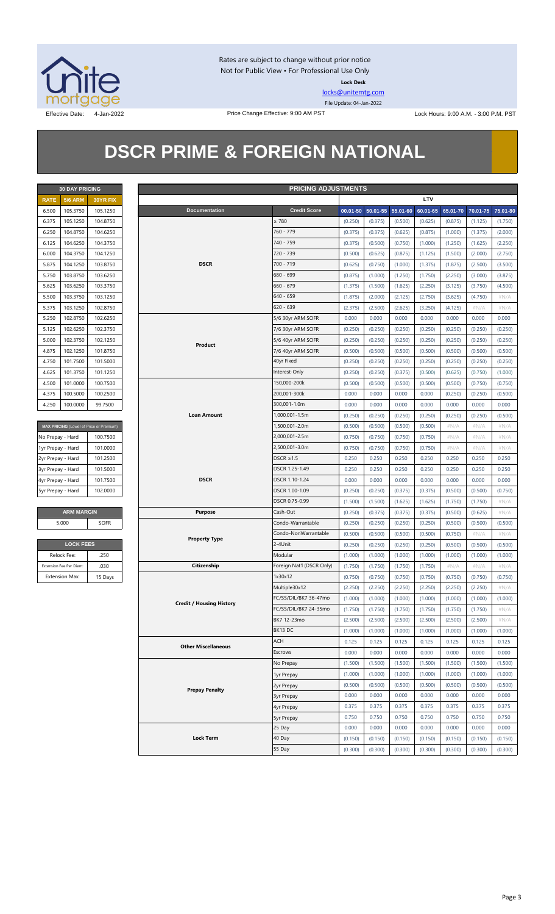

Rates are subject to change without prior notice Not for Public View • For Professional Use Only **Lock Desk**

[locks@unitemtg.com](mailto:locks@unitemtg.com) File Update: 04-Jan-2022

Effective Date: 4-Jan-2022 **Price Change Effective: 9:00 AM PST** Lock Hours: 9:00 A.M. - 3:00 P.M. PST

## **DSCR PRIME & FOREIGN NATIONAL**

|             | <b>30 DAY PRICING</b> |          |  |  |  |  |  |  |  |
|-------------|-----------------------|----------|--|--|--|--|--|--|--|
| <b>RATE</b> | <b>5/6 ARM</b>        | 30YR FIX |  |  |  |  |  |  |  |
| 6.500       | 105.3750              | 105.1250 |  |  |  |  |  |  |  |
| 6.375       | 105.1250              | 104.8750 |  |  |  |  |  |  |  |
| 6.250       | 104.8750              | 104.6250 |  |  |  |  |  |  |  |
| 6.125       | 104.6250              | 104.3750 |  |  |  |  |  |  |  |
| 6.000       | 104.3750              | 104.1250 |  |  |  |  |  |  |  |
| 5.875       | 104.1250              | 103.8750 |  |  |  |  |  |  |  |
| 5.750       | 103.8750              | 103.6250 |  |  |  |  |  |  |  |
| 5.625       | 103.6250              | 103.3750 |  |  |  |  |  |  |  |
| 5.500       | 103.3750              | 103.1250 |  |  |  |  |  |  |  |
| 5.375       | 103.1250              | 102.8750 |  |  |  |  |  |  |  |
| 5.250       | 102.8750              | 102.6250 |  |  |  |  |  |  |  |
| 5.125       | 102.6250              | 102.3750 |  |  |  |  |  |  |  |
| 5.000       | 102.3750              | 102.1250 |  |  |  |  |  |  |  |
| 4.875       | 102.1250              | 101.8750 |  |  |  |  |  |  |  |
| 4.750       | 101.7500              | 101.5000 |  |  |  |  |  |  |  |
| 4.625       | 101.3750              | 101.1250 |  |  |  |  |  |  |  |
| 4.500       | 101.0000              | 100.7500 |  |  |  |  |  |  |  |
| 4.375       | 100.5000              | 100.2500 |  |  |  |  |  |  |  |
| 4.250       | 100.0000              | 99.7500  |  |  |  |  |  |  |  |

| MAX PRICING (Lower of Price or Premium) |          |
|-----------------------------------------|----------|
| No Prepay - Hard                        | 100.7500 |
| 1yr Prepay - Hard                       | 101.0000 |
| 2yr Prepay - Hard                       | 101.2500 |
| 3yr Prepay - Hard                       | 101.5000 |
| 4yr Prepay - Hard                       | 101.7500 |
| 5yr Prepay - Hard                       | 102,0000 |

| <b>ARM MARGIN</b> |             |
|-------------------|-------------|
| 5.000             | <b>SOFR</b> |

| <b>LOCK FEES</b>        |         |
|-------------------------|---------|
| Relock Fee:             | .250    |
| Extension Fee Per Diem: | .030    |
| <b>Extension Max:</b>   | 15 Days |

|                   | <b>30 DAY PRICING</b>   |                                         |                                 | <b>PRICING ADJUSTMENTS</b> |         |                            |         |          |          |          |          |
|-------------------|-------------------------|-----------------------------------------|---------------------------------|----------------------------|---------|----------------------------|---------|----------|----------|----------|----------|
| <b>RATE</b>       | <b>5/6 ARM</b>          | 30YR FIX                                |                                 |                            |         |                            |         | LTV      |          |          |          |
| 6.500             | 105.3750                | 105.1250                                | <b>Documentation</b>            | <b>Credit Score</b>        |         | 00.01-50 50.01-55 55.01-60 |         | 60.01-65 | 65.01-70 | 70.01-75 | 75.01-80 |
| 6.375             | 105.1250                | 104.8750                                |                                 | $\geq 780$                 | (0.250) | (0.375)                    | (0.500) | (0.625)  | (0.875)  | (1.125)  | (1.750)  |
| 6.250             | 104.8750                | 104.6250                                |                                 | 760 - 779                  | (0.375) | (0.375)                    | (0.625) | (0.875)  | (1.000)  | (1.375)  | (2.000)  |
| 6.125             | 104.6250                | 104.3750                                |                                 | 740 - 759                  | (0.375) | (0.500)                    | (0.750) | (1.000)  | (1.250)  | (1.625)  | (2.250)  |
| 6.000             | 104.3750                | 104.1250                                |                                 | 720 - 739                  | (0.500) | (0.625)                    | (0.875) | (1.125)  | (1.500)  | (2.000)  | (2.750)  |
| 5.875             | 104.1250                | 103.8750                                | <b>DSCR</b>                     | 700 - 719                  | (0.625) | (0.750)                    | (1.000) | (1.375)  | (1.875)  | (2.500)  | (3.500)  |
| 5.750             | 103.8750                | 103.6250                                |                                 | 680 - 699                  | (0.875) | (1.000)                    | (1.250) | (1.750)  | (2.250)  | (3.000)  | (3.875)  |
| 5.625             | 103.6250                | 103.3750                                |                                 | $660 - 679$                | (1.375) | (1.500)                    | (1.625) | (2.250)  | (3.125)  | (3.750)  | (4.500)  |
| 5.500             | 103.3750                | 103.1250                                |                                 | $640 - 659$                | (1.875) | (2.000)                    | (2.125) | (2.750)  | (3.625)  | (4.750)  | $\#N/A$  |
| 5.375             | 103.1250                | 102.8750                                |                                 | $620 - 639$                | (2.375) | (2.500)                    | (2.625) | (3.250)  | (4.125)  | $\#N/A$  | $\#N/A$  |
| 5.250             | 102.8750                | 102.6250                                |                                 | 5/6 30yr ARM SOFR          | 0.000   | 0.000                      | 0.000   | 0.000    | 0.000    | 0.000    | 0.000    |
| 5.125             | 102.6250                | 102.3750                                |                                 | 7/6 30yr ARM SOFR          | (0.250) | (0.250)                    | (0.250) | (0.250)  | (0.250)  | (0.250)  | (0.250)  |
| 5.000             | 102.3750                | 102.1250                                |                                 | 5/6 40yr ARM SOFR          | (0.250) | (0.250)                    | (0.250) | (0.250)  | (0.250)  | (0.250)  | (0.250)  |
| 4.875             | 102.1250                | 101.8750                                | Product                         | 7/6 40yr ARM SOFR          | (0.500) | (0.500)                    | (0.500) | (0.500)  | (0.500)  | (0.500)  | (0.500)  |
| 4.750             | 101.7500                | 101.5000                                |                                 | 40yr Fixed                 | (0.250) | (0.250)                    | (0.250) | (0.250)  | (0.250)  | (0.250)  | (0.250)  |
| 4.625             | 101.3750                | 101.1250                                |                                 | Interest-Only              | (0.250) | (0.250)                    | (0.375) | (0.500)  | (0.625)  | (0.750)  | (1.000)  |
| 4.500             | 101.0000                | 100.7500                                |                                 | 150,000-200k               | (0.500) | (0.500)                    | (0.500) | (0.500)  | (0.500)  | (0.750)  | (0.750)  |
| 4.375             | 100.5000                | 100.2500                                |                                 | 200,001-300k               | 0.000   | 0.000                      | 0.000   | 0.000    | (0.250)  | (0.250)  | (0.500)  |
| 4.250             | 100.0000                | 99.7500                                 |                                 | 300,001-1.0m               | 0.000   | 0.000                      | 0.000   | 0.000    | 0.000    | 0.000    | 0.000    |
|                   |                         |                                         | <b>Loan Amount</b>              | 1,000,001-1.5m             |         |                            |         |          |          |          |          |
|                   |                         |                                         |                                 | 1,500,001-2.0m             | (0.250) | (0.250)                    | (0.250) | (0.250)  | (0.250)  | (0.250)  | (0.500)  |
|                   |                         | MAX PRICING (Lower of Price or Premium) |                                 |                            | (0.500) | (0.500)                    | (0.500) | (0.500)  | $\#N/A$  | $\#N/A$  | $\#N/A$  |
| No Prepay - Hard  |                         | 100.7500                                |                                 | 2,000,001-2.5m             | (0.750) | (0.750)                    | (0.750) | (0.750)  | $\#N/A$  | $\#N/A$  | # $N/A$  |
| 1yr Prepay - Hard |                         | 101.0000                                |                                 | 2,500,001-3.0m             | (0.750) | (0.750)                    | (0.750) | (0.750)  | $\#N/A$  | $\#N/A$  | $\#N/A$  |
| 2yr Prepay - Hard |                         | 101.2500                                |                                 | DSCR $\geq$ 1.5            | 0.250   | 0.250                      | 0.250   | 0.250    | 0.250    | 0.250    | 0.250    |
| 3yr Prepay - Hard |                         | 101.5000                                |                                 | DSCR 1.25-1.49             | 0.250   | 0.250                      | 0.250   | 0.250    | 0.250    | 0.250    | 0.250    |
| 4yr Prepay - Hard |                         | 101.7500                                | <b>DSCR</b>                     | DSCR 1.10-1.24             | 0.000   | 0.000                      | 0.000   | 0.000    | 0.000    | 0.000    | 0.000    |
| 5yr Prepay - Hard |                         | 102.0000                                |                                 | DSCR 1.00-1.09             | (0.250) | (0.250)                    | (0.375) | (0.375)  | (0.500)  | (0.500)  | (0.750)  |
|                   |                         |                                         |                                 | DSCR 0.75-0.99             | (1.500) | (1.500)                    | (1.625) | (1.625)  | (1.750)  | (1.750)  | $\#N/A$  |
|                   | <b>ARM MARGIN</b>       |                                         | <b>Purpose</b>                  | Cash-Out                   | (0.250) | (0.375)                    | (0.375) | (0.375)  | (0.500)  | (0.625)  | $\#N/A$  |
|                   | 5.000                   | <b>SOFR</b>                             |                                 | Condo-Warrantable          | (0.250) | (0.250)                    | (0.250) | (0.250)  | (0.500)  | (0.500)  | (0.500)  |
|                   |                         |                                         | <b>Property Type</b>            | Condo-NonWarrantable       | (0.500) | (0.500)                    | (0.500) | (0.500)  | (0.750)  | $\#N/A$  | #N/A     |
|                   | <b>LOCK FEES</b>        |                                         |                                 | 2-4Unit                    | (0.250) | (0.250)                    | (0.250) | (0.250)  | (0.500)  | (0.500)  | (0.500)  |
|                   | Relock Fee:             | .250                                    |                                 | Modular                    | (1.000) | (1.000)                    | (1.000) | (1.000)  | (1.000)  | (1.000)  | (1.000)  |
|                   | Extension Fee Per Diem: | .030                                    | Citizenship                     | Foreign Nat'l (DSCR Only)  | (1.750) | (1.750)                    | (1.750) | (1.750)  | $\#N/A$  | $\#N/A$  | $\#N/A$  |
|                   | <b>Extension Max:</b>   | 15 Days                                 |                                 | 1x30x12                    | (0.750) | (0.750)                    | (0.750) | (0.750)  | (0.750)  | (0.750)  | (0.750)  |
|                   |                         |                                         |                                 | Multiple30x12              | (2.250) | (2.250)                    | (2.250) | (2.250)  | (2.250)  | (2.250)  | $\#N/A$  |
|                   |                         |                                         | <b>Credit / Housing History</b> | FC/SS/DIL/BK7 36-47mo      | (1.000) | (1.000)                    | (1.000) | (1.000)  | (1.000)  | (1.000)  | (1.000)  |
|                   |                         |                                         |                                 | FC/SS/DIL/BK7 24-35mo      | (1.750) | (1.750)                    | (1.750) | (1.750)  | (1.750)  | (1.750)  | # $N/A$  |
|                   |                         |                                         |                                 | BK7 12-23mo                | (2.500) | (2.500)                    | (2.500) | (2.500)  | (2.500)  | (2.500)  | # $N/A$  |
|                   |                         |                                         |                                 | BK13DC                     | (1.000) | (1.000)                    | (1.000) | (1.000)  | (1.000)  | (1.000)  | (1.000)  |
|                   |                         |                                         | <b>Other Miscellaneous</b>      | ACH                        | 0.125   | 0.125                      | 0.125   | 0.125    | 0.125    | 0.125    | 0.125    |
|                   |                         |                                         |                                 | Escrows                    | 0.000   | 0.000                      | 0.000   | 0.000    | 0.000    | 0.000    | 0.000    |
|                   |                         |                                         |                                 | No Prepay                  | (1.500) | (1.500)                    | (1.500) | (1.500)  | (1.500)  | (1.500)  | (1.500)  |
|                   |                         |                                         |                                 | 1yr Prepay                 | (1.000) | (1.000)                    | (1.000) | (1.000)  | (1.000)  | (1.000)  | (1.000)  |
|                   |                         |                                         | 2yr Prepay                      | (0.500)                    | (0.500) | (0.500)                    | (0.500) | (0.500)  | (0.500)  | (0.500)  |          |
|                   |                         |                                         | <b>Prepay Penalty</b>           | 3yr Prepay                 | 0.000   | 0.000                      | 0.000   | 0.000    | 0.000    | 0.000    | 0.000    |
|                   |                         |                                         |                                 | 4yr Prepay                 | 0.375   | 0.375                      | 0.375   | 0.375    | 0.375    | 0.375    | 0.375    |
|                   |                         |                                         |                                 | 5yr Prepay                 | 0.750   | 0.750                      | 0.750   | 0.750    | 0.750    | 0.750    | 0.750    |
|                   |                         |                                         |                                 | 25 Day                     | 0.000   | 0.000                      | 0.000   | 0.000    | 0.000    | 0.000    | 0.000    |
|                   |                         |                                         | <b>Lock Term</b>                | 40 Day                     | (0.150) | (0.150)                    | (0.150) | (0.150)  | (0.150)  | (0.150)  | (0.150)  |
|                   |                         |                                         |                                 | 55 Day                     | (0.300) | (0.300)                    | (0.300) | (0.300)  | (0.300)  | (0.300)  | (0.300)  |
|                   |                         |                                         |                                 |                            |         |                            |         |          |          |          |          |

#### Page 3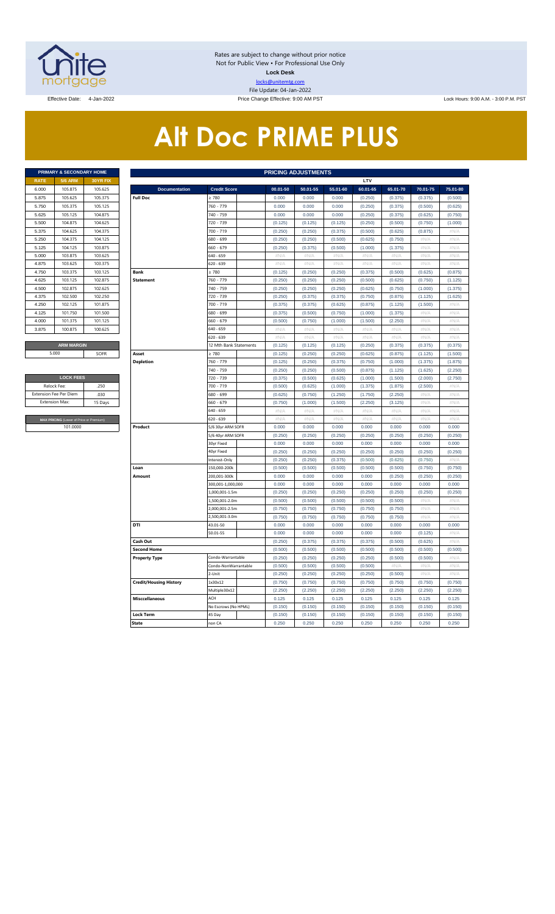

Rates are subject to change without prior notice Not for Public View • For Professional Use Only **Lock Desk** locks@unitemtg.com File Update: 04-Jan-2022

Effective Date: 4-Jan-2022 **Price Change Effective: 9:00 AM PST** Lock Hours: 9:00 A.M. - 3:00 P.M. PST

# **Alt Doc PRIME PLUS**

|             | <b>PRIMARY &amp; SECONDARY HOME</b> |                 |
|-------------|-------------------------------------|-----------------|
| <b>RATE</b> | <b>5/6 ARM</b>                      | <b>30YR FIX</b> |
| 6.000       | 105.875                             | 105.625         |
| 5.875       | 105.625                             | 105.375         |
| 5.750       | 105.375                             | 105.125         |
| 5.625       | 105.125                             | 104.875         |
| 5.500       | 104.875                             | 104.625         |
| 5.375       | 104.625                             | 104.375         |
| 5.250       | 104.375                             | 104.125         |
| 5.125       | 104.125                             | 103.875         |
| 5.000       | 103.875                             | 103.625         |
| 4.875       | 103.625                             | 103.375         |
| 4.750       | 103.375                             | 103.125         |
| 4.625       | 103.125                             | 102.875         |
| 4.500       | 102.875                             | 102.625         |
| 4.375       | 102.500                             | 102.250         |
| 4.250       | 102.125                             | 101.875         |
| 4.125       | 101.750                             | 101.500         |
| 4.000       | 101.375                             | 101.125         |
| 3.875       | 100.875                             | 100.625         |
|             |                                     |                 |
|             | <b>ARM MARGIN</b>                   |                 |

| <b>LOCK FEES</b>                        |         |  |  |  |  |  |  |  |  |
|-----------------------------------------|---------|--|--|--|--|--|--|--|--|
| Relock Fee:                             | 250     |  |  |  |  |  |  |  |  |
| <b>Extension Fee Per Diem</b>           | .030    |  |  |  |  |  |  |  |  |
| <b>Extension Max:</b>                   | 15 Days |  |  |  |  |  |  |  |  |
|                                         |         |  |  |  |  |  |  |  |  |
| MAX PRICING (Lower of Price or Premium) |         |  |  |  |  |  |  |  |  |
| 101,0000                                |         |  |  |  |  |  |  |  |  |

|             | PRIMARY & SECONDARY HOME                             |          | <b>PRICING ADJUSTMENTS</b>    |                                    |                    |                    |                    |                    |                    |                  |                  |  |  |
|-------------|------------------------------------------------------|----------|-------------------------------|------------------------------------|--------------------|--------------------|--------------------|--------------------|--------------------|------------------|------------------|--|--|
| <b>RATE</b> | <b>5/6 ARM</b>                                       | 30YR FIX |                               |                                    |                    |                    |                    | LTV                |                    |                  |                  |  |  |
| 6.000       | 105.875                                              | 105.625  | <b>Documentation</b>          | <b>Credit Score</b>                | 00.01-50           | 50.01-55           | 55.01-60           | 60.01-65           | 65.01-70           | 70.01-75         | 75.01-80         |  |  |
| 5.875       | 105.625                                              | 105.375  | <b>Full Doc</b>               | 2780                               | 0.000              | 0.000              | 0.000              | (0.250)            | (0.375)            | (0.375)          | (0.500)          |  |  |
| 5.750       | 105.375                                              | 105.125  |                               | 760 - 779                          | 0.000              | 0.000              | 0.000              | (0.250)            | (0.375)            | (0.500)          | (0.625)          |  |  |
| 5.625       | 105.125                                              | 104.875  |                               | 740 - 759                          | 0.000              | 0.000              | 0.000              | (0.250)            | (0.375)            | (0.625)          | (0.750)          |  |  |
| 5.500       | 104.875                                              | 104.625  |                               | 720 - 739                          | (0.125)            | (0.125)            | (0.125)            | (0.250)            | (0.500)            | (0.750)          | (1.000)          |  |  |
| 5.375       | 104.625                                              | 104.375  |                               | 700 - 719                          | (0.250)            | (0.250)            | (0.375)            | (0.500)            | (0.625)            | (0.875)          | #N/A             |  |  |
| 5.250       | 104.375                                              | 104.125  |                               | 580 - 699                          | (0.250)            | (0.250)            | (0.500)            | (0.625)            | (0.750)            | #N//             | #N/A             |  |  |
| 5.125       | 104.125                                              | 103.875  |                               | 660 - 679                          | (0.250)            | (0.375)            | (0.500)            | (1.000)            | (1.375)            | #N/A             | #N/A             |  |  |
| 5.000       | 103.875                                              | 103.625  |                               | 640 - 659                          | $\#N/A$            | $\#N/A$            | #N/A               | #N/A               | $\#N/A$            | #N/A             | #N/A             |  |  |
| 4.875       | 103.625                                              | 103.375  |                               | 620 - 639                          | #N/A               | #N/A               | #N/A               | #N/A               | # $N/A$            | #N/ $/$          | #N/A             |  |  |
| 4.750       | 103.375                                              | 103.125  | <b>Bank</b>                   | $\geq 780$                         | (0.125)            | (0.250)            | (0.250)            | (0.375)            | (0.500)            | (0.625)          | (0.875)          |  |  |
| 4.625       | 103.125                                              | 102.875  | <b>Statement</b>              | 760 - 779                          | (0.250)            | (0.250)            | (0.250)            | (0.500)            | (0.625)            | (0.750)          | (1.125)          |  |  |
| 4.500       | 102.875                                              | 102.625  |                               | 740 - 759                          | (0.250)            | (0.250)            | (0.250)            | (0.625)            | (0.750)            | (1.000)          | (1.375)          |  |  |
| 4.375       | 102.500                                              | 102.250  |                               | 720 - 739                          | (0.250)            | (0.375)            | (0.375)            | (0.750)            | (0.875)            | (1.125)          | (1.625)          |  |  |
| 4.250       | 102.125                                              | 101.875  |                               | 700 - 719                          | (0.375)            | (0.375)            | (0.625)            | (0.875)            | (1.125)            | (1.500)          | #N/A             |  |  |
| 4.125       | 101.750                                              | 101.500  |                               | 680 - 699                          | (0.375)            | (0.500)            | (0.750)            | (1.000)            | (1.375)            | #N/A             | $\#N/\beta$      |  |  |
| 4.000       | 101.375                                              | 101.125  |                               | 660 - 679                          | (0.500)            | (0.750)            | (1.000)            | (1.500)            | (2.250)            | #N/A             | #N/A             |  |  |
| 3.875       | 100.875                                              | 100.625  |                               | 640 - 659                          | $\#N/A$            | #N/A               | $\#N/A$            | $\#N/A$            | $\#N/A$            | #N/A             | #N/A             |  |  |
|             |                                                      |          |                               | 620 - 639                          | $\#N/A$            | #N/A               | $\#N/A$            | $\#N/A$            | $\#N/A$            | #N/A             | #N/A             |  |  |
|             | <b>ARM MARGIN</b>                                    |          |                               | 12 Mth Bank Statements             | (0.125)            | (0.125)            | (0.125)            | (0.250)            | (0.375)            | (0.375)          | (0.375)          |  |  |
|             | 5.000                                                | SOFR     | Asset                         | $\geq 780$                         | (0.125)            | (0.250)            | (0.250)            | (0.625)            | (0.875)            | (1.125)          | (1.500)          |  |  |
|             |                                                      |          | <b>Depletion</b>              | 760 - 779                          | (0.125)            | (0.250)            | (0.375)            | (0.750)            | (1.000)            | (1.375)          | (1.875)          |  |  |
|             |                                                      |          |                               | 740 - 759                          | (0.250)            | (0.250)            | (0.500)            | (0.875)            | (1.125)            | (1.625)          | (2.250)          |  |  |
|             | <b>LOCK FEES</b>                                     |          |                               | 720 - 739                          | (0.375)            | (0.500)            | (0.625)            | (1.000)            | (1.500)            | (2.000)          | (2.750)          |  |  |
|             | Relock Fee:<br>.250<br>xtension Fee Per Diem<br>.030 |          |                               | 700 - 719                          | (0.500)            | (0.625)            | (1.000)            | (1.375)            | (1.875)            | (2.500)          | $\#N/A$          |  |  |
|             |                                                      |          |                               | 680 - 699                          | (0.625)            | (0.750)            | (1.250)            | (1.750)            | (2.250)            | #N/A             | #N/A             |  |  |
|             | <b>Extension Max:</b>                                | 15 Days  |                               | 660 - 679                          | (0.750)            | (1.000)            | (1.500)            | (2.250)            | (3.125)            | # $N/A$          | #N/A             |  |  |
|             |                                                      |          |                               | 640 - 659                          | $\#N/A$            | #N/A               | $\#N/A$            | $\#N/A$            | $\#N/A$            | #N/A             | #N/A             |  |  |
|             | MAX PRICING (Lower of Price or Premium)              |          |                               | 520 - 639                          | $\#N/A$            | $\#N/A$            | $\#N/A$            | $\#N/A$            | #N/A               | $\#N/F$          | $\#N/\beta$      |  |  |
|             | 101.0000                                             |          | Product                       | 5/6 30yr ARM SOFR                  | 0.000              | 0.000              | 0.000              | 0.000              | 0.000              | 0.000            | 0.000            |  |  |
|             |                                                      |          |                               | 5/6 40yr ARM SOFR                  | (0.250)            | (0.250)            | (0.250)            | (0.250)            | (0.250)            | (0.250)          | (0.250)          |  |  |
|             |                                                      |          |                               | 30yr Fixed                         | 0.000              | 0.000              | 0.000              | 0.000              | 0.000              | 0.000            | 0.000            |  |  |
|             |                                                      |          |                               | 40yr Fixed                         | (0.250)            | (0.250)            | (0.250)            | (0.250)            | (0.250)            | (0.250)          | (0.250)          |  |  |
|             |                                                      |          |                               | Interest-Only                      | (0.250)            | (0.250)            | (0.375)            | (0.500)            | (0.625)            | (0.750)          | $\#N/A$          |  |  |
|             |                                                      |          | Loan                          | 150,000-200k                       | (0.500)            | (0.500)            | (0.500)            | (0.500)            | (0.500)            | (0.750)          | (0.750)          |  |  |
|             |                                                      |          | Amount                        | 200,001-300k                       | 0.000              | 0.000              | 0.000              | 0.000              | (0.250)            | (0.250)          | (0.250)          |  |  |
|             |                                                      |          |                               | 300,001-1,000,000<br>L000.001-1.5m | 0.000<br>(0.250)   | 0.000<br>(0.250)   | 0.000<br>(0.250)   | 0.000<br>(0.250)   | 0.000<br>(0.250)   | 0.000<br>(0.250) | 0.000<br>(0.250) |  |  |
|             |                                                      |          |                               |                                    |                    |                    |                    |                    |                    |                  |                  |  |  |
|             |                                                      |          |                               | L,500,001-2.0m<br>2,000,001-2.5m   | (0.500)<br>(0.750) | (0.500)<br>(0.750) | (0.500)            | (0.500)<br>(0.750) | (0.500)            | #N/A<br>#N/A     | #N/A<br>$\#N/A$  |  |  |
|             |                                                      |          |                               | 2,500,001-3.0m                     | (0.750)            | (0.750)            | (0.750)<br>(0.750) | (0.750)            | (0.750)<br>(0.750) | #N/A             | #N/A             |  |  |
|             |                                                      |          | DTI                           | 43.01-50                           | 0.000              | 0.000              | 0.000              | 0.000              | 0.000              | 0.000            | 0.000            |  |  |
|             |                                                      |          |                               | 50.01-55                           | 0.000              | 0.000              | 0.000              | 0.000              | 0.000              | (0.125)          | #N/A             |  |  |
|             |                                                      |          | Cash Out                      |                                    | (0.250)            | (0.375)            | (0.375)            | (0.375)            | (0.500)            | (0.625)          | #N/A             |  |  |
|             |                                                      |          | <b>Second Home</b>            |                                    | (0.500)            | (0.500)            | (0.500)            | (0.500)            | (0.500)            | (0.500)          | (0.500)          |  |  |
|             |                                                      |          | <b>Property Type</b>          | Condo-Warrantable                  | (0.250)            | (0.250)            | (0.250)            | (0.250)            | (0.500)            | (0.500)          | #N/A             |  |  |
|             |                                                      |          |                               | Condo-NonWarrantable               | (0.500)            | (0.500)            | (0.500)            | (0.500)            | #N/A               | #N/A             | #N/A             |  |  |
|             |                                                      |          |                               | 2-Unit                             | (0.250)            | (0.250)            | (0.250)            | (0.250)            | (0.500)            | #N/A             | $\#N/A$          |  |  |
|             |                                                      |          | <b>Credit/Housing History</b> | 1x30x12                            | (0.750)            | (0.750)            | (0.750)            | (0.750)            | (0.750)            | (0.750)          | (0.750)          |  |  |
|             |                                                      |          |                               | Multiple30x12                      | (2.250)            | (2.250)            | (2.250)            | (2.250)            | (2.250)            | (2.250)          | (2.250)          |  |  |
|             |                                                      |          | <b>Misccellaneous</b>         | ACH                                | 0.125              | 0.125              | 0.125              | 0.125              | 0.125              | 0.125            | 0.125            |  |  |
|             |                                                      |          |                               | No Escrows (No HPML)               | (0.150)            | (0.150)            | (0.150)            | (0.150)            | (0.150)            | (0.150)          | (0.150)          |  |  |
|             |                                                      |          | Lock Term                     | 45 Day                             | (0.150)            | (0.150)            | (0.150)            | (0.150)            | (0.150)            | (0.150)          | (0.150)          |  |  |
|             |                                                      |          | <b>State</b>                  | non CA                             | 0.250              | 0.250              | 0.250              | 0.250              | 0.250              | 0.250            | 0.250            |  |  |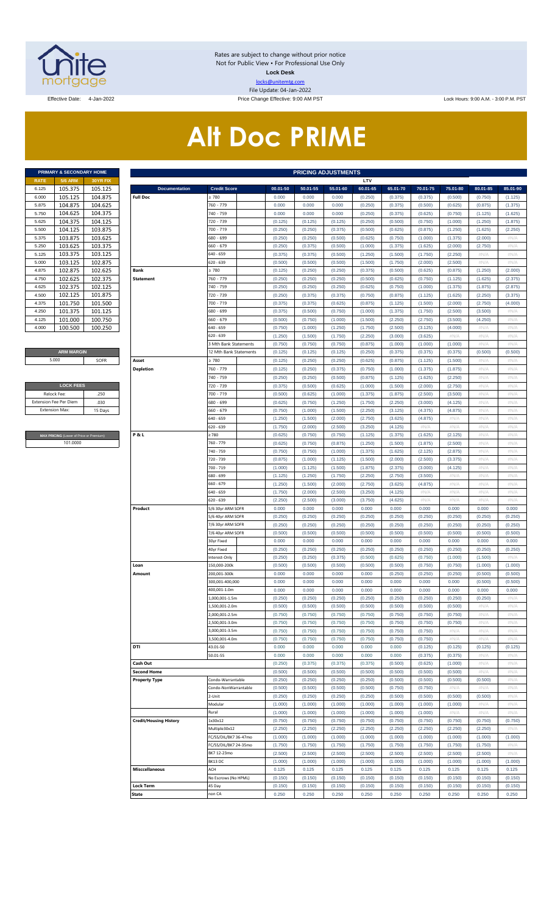

Rates are subject to change without prior notice Not for Public View • For Professional Use Only **Lock Desk** locks@unitemtg.com File Update: 04-Jan-2022

Effective Date: 4-Jan-2022 **Price Change Effective: 9:00 AM PST** Lock Hours: 9:00 A.M. - 3:00 P.M. PST

# **Alt Doc PRIME**

|             | PRIMARY & SECONDARY HOME |                 |
|-------------|--------------------------|-----------------|
| <b>RATE</b> | <b>5/6 ARM</b>           | <b>30YR FIX</b> |
| 6.125       | 105.375                  | 105.125         |
| 6.000       | 105.125                  | 104.875         |
| 5.875       | 104.875                  | 104.625         |
| 5.750       | 104.625                  | 104.375         |
| 5.625       | 104 375                  | 104.125         |
| 5.500       | 104.125                  | 103.875         |
| 5.375       | 103.875                  | 103.625         |
| 5.250       | 103.625                  | 103.375         |
| 5.125       | 103.375                  | 103.125         |
| 5.000       | 103.125                  | 102.875         |
| 4.875       | 102.875                  | 102.625         |
| 4.750       | 102.625                  | 102.375         |
| 4.625       | 102.375                  | 102.125         |
| 4.500       | 102.125                  | 101.875         |
| 4.375       | 101.750                  | 101.500         |
| 4.250       | 101.375                  | 101.125         |
| 4.125       | 101.000                  | 100.750         |
| 4.000       | 100.500                  | 100.250         |

#### **ARM MARGIN** 5.000

| <b>LOCK FEES</b>              |         |
|-------------------------------|---------|
| Relock Fee:                   | 250     |
| <b>Extension Fee Per Diem</b> | .030    |
| <b>Extension Max:</b>         | 15 Days |
|                               |         |

**RICING** (Lower of Price or Premium) 101.0000

|                | PRIMARY & SECONDARY HOME                |          |                               |                            |                    | <b>PRICING ADJUSTMENTS</b> |                    |                    |                    |                    |                 |              |              |
|----------------|-----------------------------------------|----------|-------------------------------|----------------------------|--------------------|----------------------------|--------------------|--------------------|--------------------|--------------------|-----------------|--------------|--------------|
| RATE           | <b>5/6 ARM</b>                          | 30YR FIX |                               |                            |                    |                            |                    | LTV                |                    |                    |                 |              |              |
| 6.125          | 105.375                                 | 105.125  | <b>Documentation</b>          | <b>Credit Score</b>        | 00.01-50           | 50.01-55                   | 55.01-60           | 60.01-65           | 65.01-70           | 70.01-75           | 75.01-80        | 80.01-85     | 85.01-90     |
| 6.000          | 105.125                                 | 104.875  | <b>Full Doc</b>               | 2780                       | 0.000              | 0.000                      | 0.000              | (0.250)            | (0.375)            | (0.375)            | (0.500)         | (0.750)      | (1.125)      |
| 5.875          | 104.875                                 | 104.625  |                               | 760 - 779                  | 0.000              | 0.000                      | 0.000              | (0.250)            | (0.375)            | (0.500)            | (0.625)         | (0.875)      | (1.375)      |
| 5.750          | 104.625                                 | 104.375  |                               | 740 - 759                  | 0.000              | 0.000                      | 0.000              | (0.250)            | (0.375)            | (0.625)            | (0.750)         | (1.125)      | (1.625)      |
| 5.625          | 104.375                                 | 104.125  |                               | 720 - 739                  | (0.125)            | (0.125)                    | (0.125)            | (0.250)            | (0.500)            | (0.750)            | (1.000)         | (1.250)      | (1.875)      |
| 5.500          | 104.125                                 | 103.875  |                               | 700 - 719                  | (0.250)            | (0.250)                    | (0.375)            | (0.500)            | (0.625)            | (0.875)            | (1.250)         | (1.625)      | (2.250)      |
| 5.375          | 103.875                                 | 103.625  |                               | 680 - 699                  | (0.250)            | (0.250)                    | (0.500)            | (0.625)            | (0.750)            | (1.000)            | (1.375)         | (2.000)      | #N/A         |
| 5.250          | 103.625                                 | 103.375  |                               | 660 - 679                  | (0.250)            | (0.375)                    | (0.500)            | (1.000)            | (1.375)            | (1.625)            | (2.000)         | (2.750)      | #N/A         |
| 5.125          | 103.375                                 | 103.125  |                               | 640 - 659                  | (0.375)            | (0.375)                    | (0.500)            | (1.250)            | (1.500)            | (1.750)            | (2.250)         | #N/A         | #N/A         |
| 5.000          | 103.125                                 | 102.875  |                               | 620 - 639                  | (0.500)            | (0.500)                    | (0.500)            | (1.500)            | (1.750)            | (2.000)            | (2.500)         | #N/A         | #N/A         |
| 4.875          | 102.875                                 | 102.625  | Bank                          | 2780                       | (0.125)            | (0.250)                    | (0.250)            | (0.375)            | (0.500)            | (0.625)            | (0.875)         | (1.250)      | (2.000)      |
| 4.750          | 102.625                                 | 102.375  | <b>Statement</b>              | 760 - 779                  | (0.250)            | (0.250)                    | (0.250)            | (0.500)            | (0.625)            | (0.750)            | (1.125)         | (1.625)      | (2.375)      |
| 4.625          | 102.375                                 | 102.125  |                               | 740 - 759                  | (0.250)            | (0.250)                    | (0.250)            | (0.625)            | (0.750)            | (1.000)            | (1.375)         | (1.875)      | (2.875)      |
| 4.500          | 102.125                                 | 101.875  |                               | 720 - 739                  | (0.250)            | (0.375)                    | (0.375)            | (0.750)            | (0.875)            | (1.125)            | (1.625)         | (2.250)      | (3.375)      |
| 4.375          | 101.750                                 | 101.500  |                               | 700 - 719                  | (0.375)            | (0.375)                    | (0.625)            | (0.875)            | (1.125)            | (1.500)            | (2.000)         | (2.750)      | (4.000)      |
| 4.250          | 101.375                                 | 101.125  |                               | 680 - 699                  | (0.375)            | (0.500)                    | (0.750)            | (1.000)            | (1.375)            | (1.750)            | (2.500)         | (3.500)      | #N/A         |
| 4.125          | 101.000                                 | 100.750  |                               | 660 - 679                  | (0.500)            | (0.750)                    | (1.000)            | (1.500)            | (2.250)            | (2.750)            | (3.500)         | (4.250)      | #N/A         |
| 4.000          | 100.500                                 | 100.250  |                               | 640 - 659                  | (0.750)            | (1.000)                    | (1.250)            | (1.750)            | (2.500)            | (3.125)            | (4.000)         | #N/A         | #N/A         |
|                |                                         |          |                               | 620 - 639                  | (1.250)            | (1.500)                    | (1.750)            | (2.250)            | (3.000)            | (3.625)            | #N/A            | #N/A         | #N/A         |
|                |                                         |          |                               | <b>Mth Bank Statements</b> | (0.750)            | (0.750)                    | (0.750)            | (0.875)            | (1.000)            | (1.000)            | (1.000)         | #N/A         | #N/A         |
|                | <b>ARM MARGIN</b>                       |          |                               | 12 Mth Bank Statements     | (0.125)            | (0.125)                    | (0.125)            | (0.250)            | (0.375)            | (0.375)            | (0.375)         | (0.500)      | (0.500)      |
|                | 5.000                                   | SOFR     | Asset                         | 2780                       | (0.125)            | (0.250)                    | (0.250)            | (0.625)            | (0.875)            | (1.125)            | (1.500)         | #N/A         | #N/A         |
|                |                                         |          | <b>Depletion</b>              | 760 - 779                  | (0.125)            | (0.250)                    | (0.375)            | (0.750)            | (1.000)            | (1.375)            | (1.875)         | #N/A         | #N/A         |
|                |                                         |          |                               | 740 - 759                  | (0.250)            | (0.250)                    | (0.500)            | (0.875)            | (1.125)            | (1.625)            | (2.250)         | #N/A         | #N/A         |
|                | <b>LOCK FEES</b>                        |          |                               | 720 - 739                  | (0.375)            | (0.500)                    | (0.625)            | (1.000)            | (1.500)            | (2.000)            | (2.750)         | $\#N/A$      | #N/A         |
| Relock Fee:    |                                         | .250     |                               | 700 - 719                  | (0.500)            | (0.625)                    | (1.000)            | (1.375)            | (1.875)            | (2.500)            | (3.500)         | #N/A         | #N/A         |
|                | xtension Fee Per Diem                   | .030     |                               | 680 - 699                  | (0.625)            | (0.750)                    | (1.250)            | (1.750)            | (2.250)            | (3.000)            | (4.125)         | #N/A         | #N/A         |
| Extension Max: |                                         | 15 Days  |                               | 660 - 679                  | (0.750)            | (1.000)                    | (1.500)            | (2.250)            | (3.125)            | (4.375)            | (4.875)         | #N/A         | #N/A         |
|                |                                         |          |                               | 640 - 659                  | (1.250)            | (1.500)                    | (2.000)            | (2.750)            | (3.625)            | (4.875)            | #N/A            | #N/A         | #N/A         |
|                |                                         |          |                               | 620 - 639                  | (1.750)            | (2.000)                    | (2.500)            | (3.250)            | (4.125)            | #N/A               | #N/A            | #N/A         | #N/A         |
|                | MAX PRICING (Lower of Price or Premium) |          | P&L                           | 2780                       | (0.625)            | (0.750)                    | (0.750)            | (1.125)            | (1.375)            | (1.625)            | (2.125)         | #N/A         | #N/A         |
|                | 101.0000                                |          |                               | 760 - 779                  | (0.625)            | (0.750)                    | (0.875)            | (1.250)            | (1.500)            | (1.875)            | (2.500)         | #N/A         | #N/A         |
|                |                                         |          |                               | 740 - 759                  | (0.750)            | (0.750)                    | (1.000)            | (1.375)            | (1.625)            | (2.125)            | (2.875)         | $\#N/A$      | #N/A         |
|                |                                         |          |                               | 720 - 739                  | (0.875)            | (1.000)                    | (1.125)            | (1.500)            | (2.000)            | (2.500)            | (3.375)         | #N/A         | #N/A         |
|                |                                         |          |                               | 700 - 719                  | (1.000)            | (1.125)                    | (1.500)            | (1.875)            | (2.375)            | (3.000)            | (4.125)         | #N/A         | #N/A         |
|                |                                         |          |                               | 680 - 699                  | (1.125)            | (1.250)                    | (1.750)            | (2.250)            | (2.750)            | (3.500)            | #N/A            | #N/A         | #N/A         |
|                |                                         |          |                               | 660 - 679                  | (1.250)            | (1.500)                    | (2.000)            | (2.750)            | (3.625)            | (4.875)            | #N/A            | $\#N/A$      | #N/A         |
|                |                                         |          |                               | 640 - 659                  | (1.750)            | (2.000)                    | (2.500)            | (3.250)            | (4.125)            | #N/A               | #N/A            | #N/A         | #N/A         |
|                |                                         |          |                               | 620 - 639                  | (2.250)            | (2.500)                    | (3.000)            | (3.750)            | (4.625)            | #N/A               | #N/A            | $\#N/A$      | #N/A         |
|                |                                         |          | Product                       | 5/6 30yr ARM SOFR          | 0.000              | 0.000                      | 0.000              | 0.000              | 0.000              | 0.000              | 0.000           | 0.000        | 0.000        |
|                |                                         |          |                               | 5/6 40yr ARM SOFR          | (0.250)            | (0.250)                    | (0.250)            | (0.250)            | (0.250)            | (0.250)            | (0.250)         | (0.250)      | (0.250)      |
|                |                                         |          |                               | 7/6 30yr ARM SOFR          | (0.250)            | (0.250)                    | (0.250)            | (0.250)            | (0.250)            | (0.250)            | (0.250)         | (0.250)      | (0.250)      |
|                |                                         |          |                               | 7/6 40yr ARM SOFR          | (0.500)            | (0.500)                    | (0.500)            | (0.500)            | (0.500)            | (0.500)            | (0.500)         | (0.500)      | (0.500)      |
|                |                                         |          |                               | 30yr Fixed                 | 0.000              | 0.000                      | 0.000              | 0.000              | 0.000              | 0.000              | 0.000           | 0.000        | 0.000        |
|                |                                         |          |                               | 40yr Fixed                 | (0.250)            | (0.250)                    | (0.250)            | (0.250)            | (0.250)            | (0.250)            | (0.250)         | (0.250)      | (0.250)      |
|                |                                         |          |                               | nterest-Only               | (0.250)            | (0.250)                    | (0.375)            | (0.500)            | (0.625)            | (0.750)            | (1.000)         | (1.500)      | #N/A         |
|                |                                         |          | Loan                          | 150,000-200k               | (0.500)            | (0.500)                    | (0.500)            | (0.500)            | (0.500)            | (0.750)            | (0.750)         | (1.000)      | (1.000)      |
|                |                                         |          | Amount                        | 200,001-300k               | 0.000              | 0.000                      | 0.000              | 0.000              | (0.250)            | (0.250)            | (0.250)         | (0.500)      | (0.500)      |
|                |                                         |          |                               | 300,001-400,000            | 0.000              | 0.000                      | 0.000              | 0.000              | 0.000              | 0.000              | 0.000           | (0.500)      | (0.500)      |
|                |                                         |          |                               | 400,001-1.0m               | 0.000              | 0.000                      | 0.000              | 0.000              | 0.000              | 0.000              | 0.000           | 0.000        | 0.000        |
|                |                                         |          |                               | ,000,001-1.5m              | (0.250)            | (0.250)                    | (0.250)            | (0.250)            | (0.250)            | (0.250)            | (0.250)         | (0.250)      | #N/A         |
|                |                                         |          |                               | ,500,001-2.0m              | (0.500)            | (0.500)                    | (0.500)            | (0.500)            | (0.500)            | (0.500)            | (0.500)         | #N/A         | #N/A         |
|                |                                         |          |                               | ,000,001-2.5m              |                    |                            |                    |                    |                    |                    |                 |              |              |
|                |                                         |          |                               | ,500,001-3.0m              | (0.750)            | (0.750)                    | (0.750)            | (0.750)            | (0.750)            | (0.750)            | (0.750)         | #N/A<br>#N/A | #N/A         |
|                |                                         |          |                               | ,000,001-3.5m              | (0.750)<br>(0.750) | (0.750)<br>(0.750)         | (0.750)<br>(0.750) | (0.750)<br>(0.750) | (0.750)<br>(0.750) | (0.750)<br>(0.750) | (0.750)<br>#N/A | #N/A         | #N/A<br>#N/A |
|                |                                         |          |                               | ,500,001-4.0m              | (0.750)            | (0.750)                    | (0.750)            | (0.750)            | (0.750)            | (0.750)            | #N/A            | #N/A         | #N/A         |
|                |                                         |          | DTI                           | 43.01-50                   | 0.000              | 0.000                      | 0.000              | 0.000              | 0.000              | (0.125)            | (0.125)         | (0.125)      | (0.125)      |
|                |                                         |          |                               | 50.01-55                   |                    |                            |                    |                    |                    |                    |                 | #N/A         | #N/A         |
|                |                                         |          |                               |                            | 0.000              | 0.000                      | 0.000              | 0.000              | 0.000              | (0.375)            | (0.375)         |              |              |
|                |                                         |          | Cash Out                      |                            | (0.250)            | (0.375)                    | (0.375)            | (0.375)            | (0.500)            | (0.625)            | (1.000)         | #N/A         | #N/A         |
|                |                                         |          | Second Home                   |                            | (0.500)            | (0.500)                    | (0.500)            | (0.500)            | (0.500)            | (0.500)            | (0.500)         | #N/A         | #N/A         |
|                |                                         |          | <b>Property Type</b>          | Condo-Warrantable          | (0.250)            | (0.250)                    | (0.250)            | (0.250)            | (0.500)            | (0.500)            | (0.500)         | (0.500)      | #N/A         |
|                |                                         |          |                               | Condo-NonWarrantable       | (0.500)            | (0.500)                    | (0.500)            | (0.500)            | (0.750)            | (0.750)            | #N/A            | #N/A         | #N/A         |
|                |                                         |          |                               | 2-Unit                     | (0.250)            | (0.250)                    | (0.250)            | (0.250)            | (0.500)            | (0.500)            | (0.500)         | (0.500)      | #N/A         |
|                |                                         |          |                               | Modular                    | (1.000)            | (1.000)                    | (1.000)            | (1.000)            | (1.000)            | (1.000)            | (1.000)         | #N/A         | #N/A         |
|                |                                         |          |                               | Rural                      | (1.000)            | (1.000)                    | (1.000)            | (1.000)            | (1.000)            | (1.000)            | #N/A            | #N/A         | #N/A         |
|                |                                         |          | <b>Credit/Housing History</b> | 1x30x12                    | (0.750)            | (0.750)                    | (0.750)            | (0.750)            | (0.750)            | (0.750)            | (0.750)         | (0.750)      | (0.750)      |
|                |                                         |          |                               | Multiple30x12              | (2.250)            | (2.250)                    | (2.250)            | (2.250)            | (2.250)            | (2.250)            | (2.250)         | (2.250)      | #N/A         |
|                |                                         |          |                               | FC/SS/DIL/BK7 36-47mo      | (1.000)            | (1.000)                    | (1.000)            | (1.000)            | (1.000)            | (1.000)            | (1.000)         | (1.000)      | (1.000)      |
|                |                                         |          |                               | FC/SS/DIL/BK7 24-35mo      | (1.750)            | (1.750)                    | (1.750)            | (1.750)            | (1.750)            | (1.750)            | (1.750)         | (1.750)      | #N/A         |
|                |                                         |          |                               | BK7 12-23mo                | (2.500)            | (2.500)                    | (2.500)            | (2.500)            | (2.500)            | (2.500)            | (2.500)         | (2.500)      | #N/A         |
|                |                                         |          |                               | BK13 DC                    | (1.000)            | (1.000)                    | (1.000)            | (1.000)            | (1.000)            | (1.000)            | (1.000)         | (1.000)      | (1.000)      |
|                |                                         |          | <b>Misccellaneous</b>         | ACH                        | 0.125              | 0.125                      | 0.125              | 0.125              | 0.125              | 0.125              | 0.125           | 0.125        | 0.125        |
|                |                                         |          |                               | No Escrows (No HPML)       | (0.150)            | (0.150)                    | (0.150)            | (0.150)            | (0.150)            | (0.150)            | (0.150)         | (0.150)      | (0.150)      |
|                |                                         |          | <b>Lock Term</b>              | 45 Day                     | (0.150)            | (0.150)                    | (0.150)            | (0.150)            | (0.150)            | (0.150)            | (0.150)         | (0.150)      | (0.150)      |
|                |                                         |          | State                         | non CA                     | 0.250              | 0.250                      | 0.250              | 0.250              | 0.250              | 0.250              | 0.250           | 0.250        | 0.250        |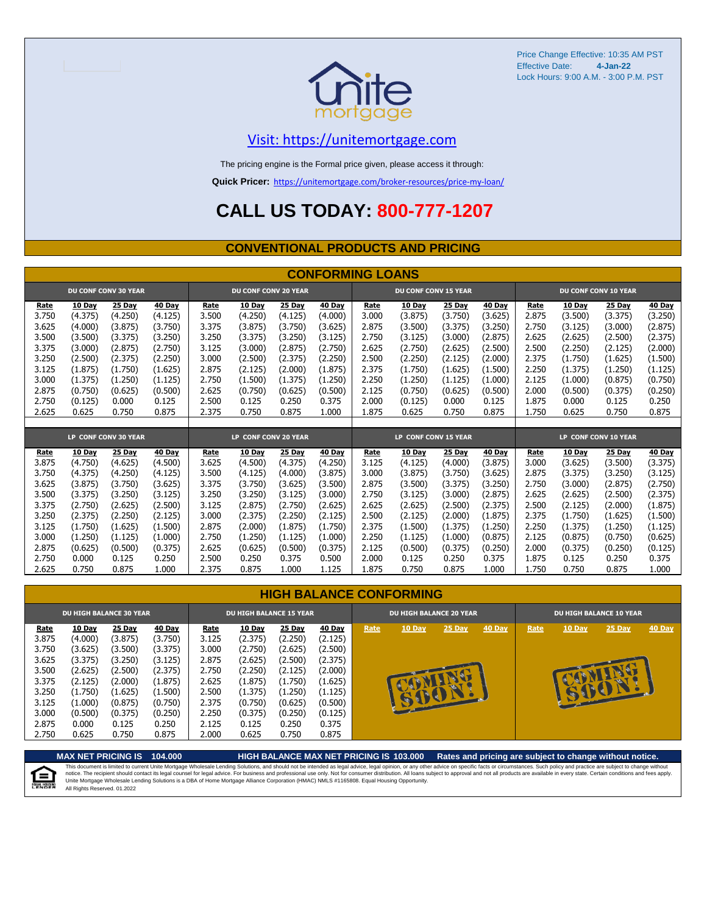

### [V](https://unitemortgage.com/)isit: https://unitemortgage.com

The pricing engine is the Formal price given, please access it through:

**Quick Pricer:** [https://un](https://unitemortgage.com/broker-resources/price-my-loan/)itemortgage.com/broker-resources/price-my-loan/

## **CALL US TODAY: 800-777-1207**

### **CONVENTIONAL PRODUCTS AND PRICING**

|       |               |                             |               |       |                             |               | <b>CONFORMING LOANS</b> |       |                             |               |               |       |               |                             |               |
|-------|---------------|-----------------------------|---------------|-------|-----------------------------|---------------|-------------------------|-------|-----------------------------|---------------|---------------|-------|---------------|-----------------------------|---------------|
|       |               | <b>DU CONF CONV 30 YEAR</b> |               |       | <b>DU CONF CONV 20 YEAR</b> |               |                         |       | <b>DU CONF CONV 15 YEAR</b> |               |               |       |               | <b>DU CONF CONV 10 YEAR</b> |               |
| Rate  | <b>10 Day</b> | <b>25 Day</b>               | <b>40 Day</b> | Rate  | <b>10 Day</b>               | <b>25 Day</b> | <b>40 Day</b>           | Rate  | <b>10 Day</b>               | <b>25 Day</b> | <b>40 Day</b> | Rate  | <b>10 Day</b> | <b>25 Day</b>               | <b>40 Day</b> |
| 3.750 | (4.375)       | (4.250)                     | (4.125)       | 3.500 | (4.250)                     | (4.125)       | (4.000)                 | 3.000 | (3.875)                     | (3.750)       | (3.625)       | 2.875 | (3.500)       | (3.375)                     | (3.250)       |
| 3.625 | (4.000)       | (3.875)                     | (3.750)       | 3.375 | (3.875)                     | (3.750)       | (3.625)                 | 2.875 | (3.500)                     | (3.375)       | (3.250)       | 2.750 | (3.125)       | (3.000)                     | (2.875)       |
| 3.500 | (3.500)       | (3.375)                     | (3.250)       | 3.250 | (3.375)                     | (3.250)       | (3.125)                 | 2.750 | (3.125)                     | (3.000)       | (2.875)       | 2.625 | (2.625)       | (2.500)                     | (2.375)       |
| 3.375 | (3.000)       | (2.875)                     | (2.750)       | 3.125 | (3.000)                     | (2.875)       | (2.750)                 | 2.625 | (2.750)                     | (2.625)       | (2.500)       | 2.500 | (2.250)       | (2.125)                     | (2.000)       |
| 3.250 | (2.500)       | (2.375)                     | (2.250)       | 3.000 | (2.500)                     | (2.375)       | (2.250)                 | 2.500 | (2.250)                     | (2.125)       | (2.000)       | 2.375 | (1.750)       | (1.625)                     | (1.500)       |
| 3.125 | (1.875)       | (1.750)                     | (1.625)       | 2.875 | (2.125)                     | (2.000)       | (1.875)                 | 2.375 | (1.750)                     | (1.625)       | (1.500)       | 2.250 | (1.375)       | (1.250)                     | (1.125)       |
| 3.000 | (1.375)       | (1.250)                     | (1.125)       | 2.750 | (1.500)                     | (1.375)       | (1.250)                 | 2.250 | (1.250)                     | (1.125)       | (1.000)       | 2.125 | (1.000)       | (0.875)                     | (0.750)       |
| 2.875 | (0.750)       | (0.625)                     | (0.500)       | 2.625 | (0.750)                     | (0.625)       | (0.500)                 | 2.125 | (0.750)                     | (0.625)       | (0.500)       | 2.000 | (0.500)       | (0.375)                     | (0.250)       |
| 2.750 | (0.125)       | 0.000                       | 0.125         | 2.500 | 0.125                       | 0.250         | 0.375                   | 2.000 | (0.125)                     | 0.000         | 0.125         | 1.875 | 0.000         | 0.125                       | 0.250         |
| 2.625 | 0.625         | 0.750                       | 0.875         | 2.375 | 0.750                       | 0.875         | 1.000                   | 1.875 | 0.625                       | 0.750         | 0.875         | 1.750 | 0.625         | 0.750                       | 0.875         |
|       |               |                             |               |       |                             |               |                         |       |                             |               |               |       |               |                             |               |
|       |               | LP CONF CONV 30 YEAR        |               |       | LP CONF CONV 20 YEAR        |               |                         |       | LP CONF CONV 15 YEAR        |               |               |       |               | LP CONF CONV 10 YEAR        |               |
| Rate  | 10 Day        | 25 Day                      | 40 Day        | Rate  | 10 Day                      | 25 Day        | 40 Day                  | Rate  | 10 Dav                      | <b>25 Day</b> | 40 Day        | Rate  | <b>10 Day</b> | <b>25 Day</b>               | 40 Day        |
| 3.875 | (4.750)       | (4.625)                     | (4.500)       | 3.625 | (4.500)                     | (4.375)       | (4.250)                 | 3.125 | (4.125)                     | (4.000)       | (3.875)       | 3.000 | (3.625)       | (3.500)                     | (3.375)       |
| 3.750 | (4.375)       | (4.250)                     | (4.125)       | 3.500 | (4.125)                     | (4.000)       | (3.875)                 | 3.000 | (3.875)                     | (3.750)       | (3.625)       | 2.875 | (3.375)       | (3.250)                     | (3.125)       |
| 3.625 | (3.875)       | (3.750)                     | (3.625)       | 3.375 | (3.750)                     | (3.625)       | (3.500)                 | 2.875 | (3.500)                     | (3.375)       | (3.250)       | 2.750 | (3.000)       | (2.875)                     | (2.750)       |
| 3.500 | (3.375)       | (3.250)                     | (3.125)       | 3.250 | (3.250)                     | (3.125)       | (3.000)                 | 2.750 | (3.125)                     | (3.000)       | (2.875)       | 2.625 | (2.625)       | (2.500)                     | (2.375)       |
| 3.375 | (2.750)       | (2.625)                     | (2.500)       | 3.125 | (2.875)                     | (2.750)       | (2.625)                 | 2.625 | (2.625)                     | (2.500)       | (2.375)       | 2.500 | (2.125)       | (2.000)                     | (1.875)       |
| 3.250 | (2.375)       | (2.250)                     | (2.125)       | 3.000 | (2.375)                     | (2.250)       | (2.125)                 | 2.500 | (2.125)                     | (2.000)       | (1.875)       | 2.375 | (1.750)       | (1.625)                     | (1.500)       |
| 3.125 | (1.750)       | (1.625)                     | (1.500)       | 2.875 | (2.000)                     | (1.875)       | (1.750)                 | 2.375 | (1.500)                     | (1.375)       | (1.250)       | 2.250 | (1.375)       | (1.250)                     | (1.125)       |
| 3.000 | (1.250)       | (1.125)                     | (1.000)       | 2.750 | (1.250)                     | (1.125)       | (1.000)                 | 2.250 | (1.125)                     | (1.000)       | (0.875)       | 2.125 | (0.875)       | (0.750)                     | (0.625)       |
| 2.875 | (0.625)       | (0.500)                     | (0.375)       | 2.625 | (0.625)                     | (0.500)       | (0.375)                 | 2.125 | (0.500)                     | (0.375)       | (0.250)       | 2.000 | (0.375)       | (0.250)                     | (0.125)       |
| 2.750 | 0.000         | 0.125                       | 0.250         | 2.500 | 0.250                       | 0.375         | 0.500                   | 2.000 | 0.125                       | 0.250         | 0.375         | 1.875 | 0.125         | 0.250                       | 0.375         |
| 2.625 | 0.750         | 0.875                       | 1.000         | 2.375 | 0.875                       | 1.000         | 1.125                   | 1.875 | 0.750                       | 0.875         | 1.000         | 1.750 | 0.750         | 0.875                       | 1.000         |

|       | <b>DU HIGH BALANCE 30 YEAR</b> |         |         | <b>DU HIGH BALANCE 15 YEAR</b> |               |         |               |      | <b>DU HIGH BALANCE 20 YEAR</b> |           |        | <b>DU HIGH BALANCE 10 YEAR</b> |               |          |               |  |
|-------|--------------------------------|---------|---------|--------------------------------|---------------|---------|---------------|------|--------------------------------|-----------|--------|--------------------------------|---------------|----------|---------------|--|
| Rate  | <b>10 Day</b>                  | 25 Day  | 40 Day  | Rate                           | <b>10 Day</b> | 25 Day  | <b>40 Day</b> | Rate | 10 Day                         | 25 Day    | 40 Day | Rate                           | <b>10 Day</b> | $25$ Day | <b>40 Day</b> |  |
| 3.875 | (4.000)                        | (3.875) | (3.750) | 3.125                          | (2.375)       | (2.250) | (2.125)       |      |                                |           |        |                                |               |          |               |  |
| 3.750 | (3.625)                        | (3.500) | (3.375) | 3.000                          | (2.750)       | (2.625) | (2.500)       |      |                                |           |        |                                |               |          |               |  |
| 3.625 | (3.375)                        | (3.250) | (3.125) | 2.875                          | (2.625)       | (2.500) | (2.375)       |      |                                |           |        |                                |               |          |               |  |
| 3.500 | (2.625)                        | (2.500) | (2.375) | 2.750                          | (2.250)       | (2.125) | (2.000)       |      |                                | <b>SA</b> |        |                                |               |          |               |  |
| 3.375 | (2.125)                        | (2.000) | (1.875) | 2.625                          | (1.875)       | (1.750) | (1.625)       |      |                                |           |        |                                |               | e.       |               |  |
| 3.250 | (1.750)                        | (1.625) | (1.500) | 2.500                          | (1.375)       | (1.250) | (1.125)       |      |                                | NU        |        |                                |               |          |               |  |
| 3.125 | (1.000)                        | (0.875) | (0.750) | 2.375                          | (0.750)       | (0.625) | (0.500)       |      | ŧ,                             |           |        |                                |               |          |               |  |
| 3.000 | (0.500)                        | (0.375) | (0.250) | 2.250                          | (0.375)       | (0.250) | (0.125)       |      |                                |           |        |                                |               |          |               |  |
| 2.875 | 0.000                          | 0.125   | 0.250   | 2.125                          | 0.125         | 0.250   | 0.375         |      |                                |           |        |                                |               |          |               |  |
| 2.750 | 0.625                          | 0.750   | 0.875   | 2.000                          | 0.625         | 0.750   | 0.875         |      |                                |           |        |                                |               |          |               |  |

**MAX NET PRICING IS 104.000 HIGH BALANCE MAX NET PRICING IS 103.000 Rates and pricing are subject to change without notice.** This document is limited to current Unite Mortgage Wholesale Lending Solutions, and should not be intended as legal advice, legal opinion, or any other advice on specific facts or circumstances. Such policy and practice ar 自 All Rights Reserved. 01.2022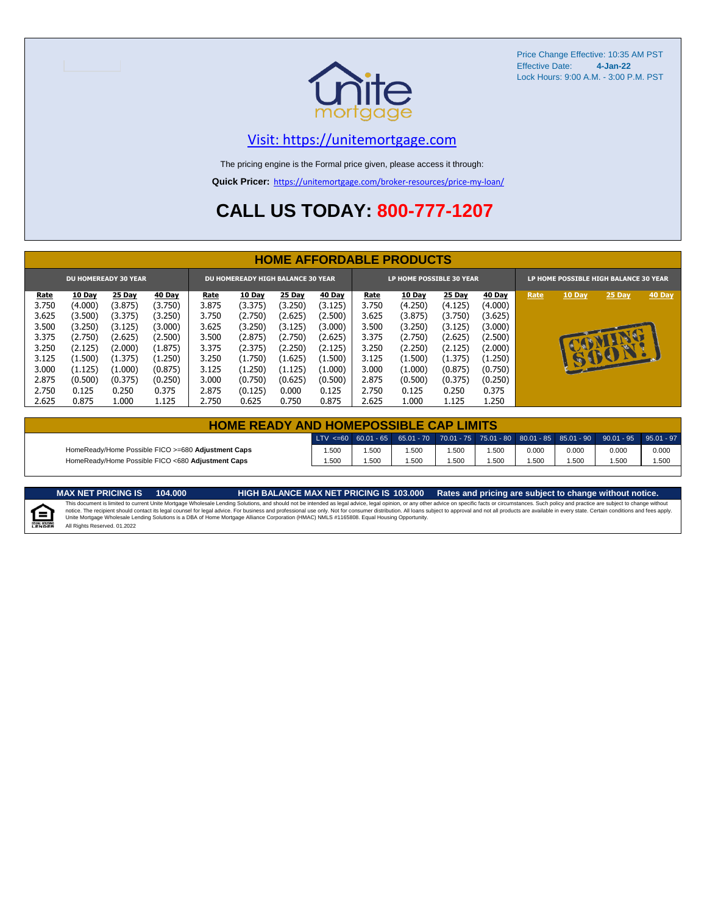

### [V](https://unitemortgage.com/)isit: https://unitemortgage.com

The pricing engine is the Formal price given, please access it through:

**Quick Pricer:** [https://un](https://unitemortgage.com/broker-resources/price-my-loan/)itemortgage.com/broker-resources/price-my-loan/

## **CALL US TODAY: 800-777-1207**

|                             | <b>HOME AFFORDABLE PRODUCTS</b> |         |         |       |                                          |         |               |                          |               |               |         |                                       |              |        |        |
|-----------------------------|---------------------------------|---------|---------|-------|------------------------------------------|---------|---------------|--------------------------|---------------|---------------|---------|---------------------------------------|--------------|--------|--------|
| <b>DU HOMEREADY 30 YEAR</b> |                                 |         |         |       | <b>DU HOMEREADY HIGH BALANCE 30 YEAR</b> |         |               | LP HOME POSSIBLE 30 YEAR |               |               |         | LP HOME POSSIBLE HIGH BALANCE 30 YEAR |              |        |        |
| <u>Rate</u>                 | 10 Day                          | 25 Day  | 40 Day  | Rate  | <b>10 Day</b>                            | 25 Day  | <b>40 Day</b> | Rate                     | <b>10 Day</b> | <b>25 Day</b> | 40 Day  | Rate                                  | 10 Day       | 25 Day | 40 Day |
| 3.750                       | (4.000)                         | (3.875) | (3.750) | 3.875 | (3.375)                                  | (3.250) | (3.125)       | 3.750                    | (4.250)       | (4.125)       | (4.000) |                                       |              |        |        |
| 3.625                       | (3.500)                         | (3.375) | (3.250) | 3.750 | (2.750)                                  | (2.625) | (2.500)       | 3.625                    | (3.875)       | (3.750)       | (3.625) |                                       |              |        |        |
| 3.500                       | (3.250)                         | (3.125) | (3.000) | 3.625 | (3.250)                                  | (3.125) | (3.000)       | 3.500                    | (3.250)       | (3.125)       | (3.000) |                                       |              |        |        |
| 3.375                       | (2.750)                         | (2.625) | (2.500) | 3.500 | (2.875)                                  | (2.750) | (2.625)       | 3.375                    | (2.750)       | (2.625)       | (2.500) |                                       |              | NG     |        |
| 3.250                       | (2.125)                         | (2.000) | (1.875) | 3.375 | (2.375)                                  | (2.250) | (2.125)       | 3.250                    | (2.250)       | (2.125)       | (2.000) |                                       |              |        |        |
| 3.125                       | (1.500)                         | (1.375) | (1.250) | 3.250 | (1.750)                                  | (1.625) | (1.500)       | 3.125                    | (1.500)       | (1.375)       | (1.250) |                                       | $\mathbf{u}$ | BOT    |        |
| 3.000                       | (1.125)                         | (1.000) | (0.875) | 3.125 | (1.250)                                  | (1.125) | (1.000)       | 3.000                    | (1.000)       | (0.875)       | (0.750) |                                       |              |        |        |
| 2.875                       | (0.500)                         | (0.375) | (0.250) | 3.000 | (0.750)                                  | (0.625) | (0.500)       | 2.875                    | (0.500)       | (0.375)       | (0.250) |                                       |              |        |        |
| 2.750                       | 0.125                           | 0.250   | 0.375   | 2.875 | (0.125)                                  | 0.000   | 0.125         | 2.750                    | 0.125         | 0.250         | 0.375   |                                       |              |        |        |
| 2.625                       | 0.875                           | 1.000   | 1.125   | 2.750 | 0.625                                    | 0.750   | 0.875         | 2.625                    | 1.000         | 1.125         | 1.250   |                                       |              |        |        |

| <b>HOME READY AND HOMEPOSSIBLE CAP LIMITS</b>      |       |      |      |      |      |       |       |                                                                                                              |       |  |  |  |
|----------------------------------------------------|-------|------|------|------|------|-------|-------|--------------------------------------------------------------------------------------------------------------|-------|--|--|--|
|                                                    |       |      |      |      |      |       |       | $\text{LTV} \leq 60$ 60.01 - 65 65.01 - 70 70.01 - 75 75.01 - 80 80.01 - 85 85.01 - 90 90.01 - 95 95.01 - 97 |       |  |  |  |
| HomeReady/Home Possible FICO >=680 Adjustment Caps | 1.500 | .500 | .500 | .500 | .500 | 0.000 | 0.000 | 0.000                                                                                                        | 0.000 |  |  |  |
| HomeReady/Home Possible FICO <680 Adjustment Caps  | 1.500 | .500 | .500 | .500 | .500 | .500  | .500  | .500                                                                                                         | 1.500 |  |  |  |

MAX NET PRICING IS 103.000 Rates and pricing are subject to change without notice.<br>This document is limited to current Unite Mortgage Wholesale Lending Solutions, and should not be intended as legal advice, legal opinion,



All Rights Reserved. 01.2022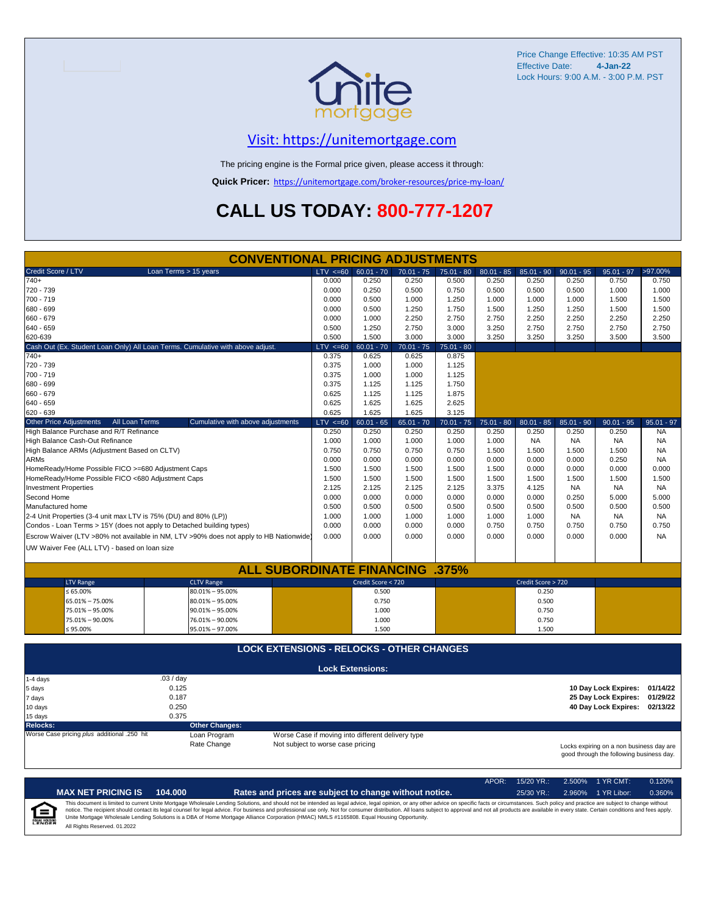

## [V](https://unitemortgage.com/)isit: https://unitemortgage.com

The pricing engine is the Formal price given, please access it through:

**Quick Pricer:** [https://un](https://unitemortgage.com/broker-resources/price-my-loan/)itemortgage.com/broker-resources/price-my-loan/

## **CALL US TODAY: 800-777-1207**

|                                                                                | <b>CONVENTIONAL PRICING ADJUSTMENTS</b>                                                |                                                   |                         |              |              |              |                    |              |                                                                                      |              |
|--------------------------------------------------------------------------------|----------------------------------------------------------------------------------------|---------------------------------------------------|-------------------------|--------------|--------------|--------------|--------------------|--------------|--------------------------------------------------------------------------------------|--------------|
| Credit Score / LTV                                                             | Loan Terms > 15 years                                                                  | $LTV \le 60$                                      | $60.01 - 70$            | $70.01 - 75$ | $75.01 - 80$ | $80.01 - 85$ | $85.01 - 90$       | $90.01 - 95$ | $95.01 - 97$                                                                         | >97.00%      |
| $740+$                                                                         |                                                                                        | 0.000                                             | 0.250                   | 0.250        | 0.500        | 0.250        | 0.250              | 0.250        | 0.750                                                                                | 0.750        |
| 720 - 739                                                                      |                                                                                        | 0.000                                             | 0.250                   | 0.500        | 0.750        | 0.500        | 0.500              | 0.500        | 1.000                                                                                | 1.000        |
| 700 - 719                                                                      |                                                                                        | 0.000                                             | 0.500                   | 1.000        | 1.250        | 1.000        | 1.000              | 1.000        | 1.500                                                                                | 1.500        |
| 680 - 699                                                                      |                                                                                        | 0.000                                             | 0.500                   | 1.250        | 1.750        | 1.500        | 1.250              | 1.250        | 1.500                                                                                | 1.500        |
| 660 - 679                                                                      |                                                                                        | 0.000                                             | 1.000                   | 2.250        | 2.750        | 2.750        | 2.250              | 2.250        | 2.250                                                                                | 2.250        |
| $640 - 659$                                                                    |                                                                                        | 0.500                                             | 1.250                   | 2.750        | 3.000        | 3.250        | 2.750              | 2.750        | 2.750                                                                                | 2.750        |
| 620-639                                                                        |                                                                                        | 0.500                                             | 1.500                   | 3.000        | 3.000        | 3.250        | 3.250              | 3.250        | 3.500                                                                                | 3.500        |
| Cash Out (Ex. Student Loan Only) All Loan Terms. Cumulative with above adjust. |                                                                                        | $LTV \le 60$                                      | $60.01 - 70$            | $70.01 - 75$ | $75.01 - 80$ |              |                    |              |                                                                                      |              |
| $740+$                                                                         |                                                                                        | 0.375                                             | 0.625                   | 0.625        | 0.875        |              |                    |              |                                                                                      |              |
| 720 - 739                                                                      |                                                                                        | 0.375                                             | 1.000                   | 1.000        | 1.125        |              |                    |              |                                                                                      |              |
| 700 - 719                                                                      |                                                                                        | 0.375                                             | 1.000                   | 1.000        | 1.125        |              |                    |              |                                                                                      |              |
| 680 - 699                                                                      |                                                                                        | 0.375                                             | 1.125                   | 1.125        | 1.750        |              |                    |              |                                                                                      |              |
| 660 - 679                                                                      |                                                                                        | 0.625                                             | 1.125                   | 1.125        | 1.875        |              |                    |              |                                                                                      |              |
| $640 - 659$                                                                    |                                                                                        | 0.625                                             | 1.625                   | 1.625        | 2.625        |              |                    |              |                                                                                      |              |
| 620 - 639                                                                      |                                                                                        | 0.625                                             | 1.625                   | 1.625        | 3.125        |              |                    |              |                                                                                      |              |
| <b>Other Price Adjustments</b><br>All Loan Terms                               | Cumulative with above adjustments                                                      | $LTV \le 60$                                      | $60.01 - 65$            | $65.01 - 70$ | $70.01 - 75$ | $75.01 - 80$ | $80.01 - 85$       | $85.01 - 90$ | $90.01 - 95$                                                                         | $95.01 - 97$ |
| High Balance Purchase and R/T Refinance                                        |                                                                                        | 0.250                                             | 0.250                   | 0.250        | 0.250        | 0.250        | 0.250              | 0.250        | 0.250                                                                                | <b>NA</b>    |
| High Balance Cash-Out Refinance                                                |                                                                                        | 1.000                                             | 1.000                   | 1.000        | 1.000        | 1.000        | <b>NA</b>          | <b>NA</b>    | <b>NA</b>                                                                            | <b>NA</b>    |
| High Balance ARMs (Adjustment Based on CLTV)                                   |                                                                                        | 0.750                                             | 0.750                   | 0.750        | 0.750        | 1.500        | 1.500              | 1.500        | 1.500                                                                                | <b>NA</b>    |
| <b>ARMs</b>                                                                    |                                                                                        | 0.000                                             | 0.000                   | 0.000        | 0.000        | 0.000        | 0.000              | 0.000        | 0.250                                                                                | <b>NA</b>    |
|                                                                                |                                                                                        |                                                   |                         |              |              |              |                    |              |                                                                                      |              |
| HomeReady/Home Possible FICO >=680 Adjustment Caps                             |                                                                                        | 1.500                                             | 1.500                   | 1.500        | 1.500        | 1.500        | 0.000              | 0.000        | 0.000                                                                                | 0.000        |
| HomeReady/Home Possible FICO <680 Adjustment Caps                              |                                                                                        | 1.500                                             | 1.500                   | 1.500        | 1.500        | 1.500        | 1.500              | 1.500        | 1.500                                                                                | 1.500        |
| <b>Investment Properties</b>                                                   |                                                                                        | 2.125                                             | 2.125                   | 2.125        | 2.125        | 3.375        | 4.125              | <b>NA</b>    | <b>NA</b>                                                                            | <b>NA</b>    |
| Second Home                                                                    |                                                                                        | 0.000                                             | 0.000                   | 0.000        | 0.000        | 0.000        | 0.000              | 0.250        | 5.000                                                                                | 5.000        |
| Manufactured home                                                              |                                                                                        | 0.500                                             | 0.500                   | 0.500        | 0.500        | 0.500        | 0.500              | 0.500        | 0.500                                                                                | 0.500        |
| 2-4 Unit Properties (3-4 unit max LTV is 75% (DU) and 80% (LP))                |                                                                                        | 1.000                                             | 1.000                   | 1.000        | 1.000        | 1.000        | 1.000              | <b>NA</b>    | <b>NA</b>                                                                            | <b>NA</b>    |
| Condos - Loan Terms > 15Y (does not apply to Detached building types)          |                                                                                        | 0.000                                             | 0.000                   | 0.000        | 0.000        | 0.750        | 0.750              | 0.750        | 0.750                                                                                | 0.750        |
|                                                                                | Escrow Waiver (LTV >80% not available in NM, LTV >90% does not apply to HB Nationwide) | 0.000                                             | 0.000                   | 0.000        | 0.000        | 0.000        | 0.000              | 0.000        | 0.000                                                                                | <b>NA</b>    |
| UW Waiver Fee (ALL LTV) - based on loan size                                   |                                                                                        |                                                   |                         |              |              |              |                    |              |                                                                                      |              |
|                                                                                |                                                                                        |                                                   |                         |              |              |              |                    |              |                                                                                      |              |
|                                                                                | <b>ALL SUBORDINATE FINANCING .375%</b>                                                 |                                                   |                         |              |              |              |                    |              |                                                                                      |              |
| <b>LTV Range</b>                                                               | <b>CLTV Range</b>                                                                      |                                                   | Credit Score < 720      |              |              |              | Credit Score > 720 |              |                                                                                      |              |
| ≤ 65.00%                                                                       | 80.01% - 95.00%                                                                        |                                                   | 0.500                   |              |              |              | 0.250              |              |                                                                                      |              |
| 65.01% - 75.00%                                                                | $80.01\% - 95.00\%$                                                                    |                                                   | 0.750                   |              |              |              | 0.500              |              |                                                                                      |              |
| 75.01% - 95.00%                                                                | $90.01\% - 95.00\%$                                                                    |                                                   | 1.000                   |              |              |              | 0.750              |              |                                                                                      |              |
| 75.01% - 90.00%                                                                | 76.01% - 90.00%                                                                        |                                                   | 1.000                   |              |              |              | 0.750              |              |                                                                                      |              |
| $\leq 95.00\%$                                                                 | 95.01% - 97.00%                                                                        |                                                   | 1.500                   |              |              |              | 1.500              |              |                                                                                      |              |
|                                                                                |                                                                                        |                                                   |                         |              |              |              |                    |              |                                                                                      |              |
|                                                                                | <b>LOCK EXTENSIONS - RELOCKS - OTHER CHANGES</b>                                       |                                                   |                         |              |              |              |                    |              |                                                                                      |              |
|                                                                                |                                                                                        |                                                   | <b>Lock Extensions:</b> |              |              |              |                    |              |                                                                                      |              |
| 1-4 days                                                                       | .03 / day                                                                              |                                                   |                         |              |              |              |                    |              |                                                                                      |              |
| 5 days                                                                         | 0.125                                                                                  |                                                   |                         |              |              |              |                    |              | 10 Day Lock Expires:                                                                 | 01/14/22     |
| 7 days                                                                         | 0.187                                                                                  |                                                   |                         |              |              |              |                    |              | 25 Day Lock Expires:                                                                 | 01/29/22     |
|                                                                                | 0.250                                                                                  |                                                   |                         |              |              |              |                    |              | 40 Day Lock Expires:                                                                 | 02/13/22     |
| 10 days                                                                        | 0.375                                                                                  |                                                   |                         |              |              |              |                    |              |                                                                                      |              |
| 15 days                                                                        |                                                                                        |                                                   |                         |              |              |              |                    |              |                                                                                      |              |
| Relocks:<br>Worse Case pricing plus additional .250 hit                        | <b>Other Changes:</b>                                                                  |                                                   |                         |              |              |              |                    |              |                                                                                      |              |
|                                                                                | Loan Program                                                                           | Worse Case if moving into different delivery type |                         |              |              |              |                    |              |                                                                                      |              |
|                                                                                | Rate Change                                                                            | Not subject to worse case pricing                 |                         |              |              |              |                    |              | Locks expiring on a non business day are<br>good through the following business day. |              |

|                            |                              |         |                                                                                                                                                                                                                                                                                                                                                                                                                                                                                                                                                                                                                | APOR: | 15/20 YR.:   | $2.500\%$ 1 YR CMT: | 0.120% |
|----------------------------|------------------------------|---------|----------------------------------------------------------------------------------------------------------------------------------------------------------------------------------------------------------------------------------------------------------------------------------------------------------------------------------------------------------------------------------------------------------------------------------------------------------------------------------------------------------------------------------------------------------------------------------------------------------------|-------|--------------|---------------------|--------|
|                            | <b>MAX NET PRICING IS</b>    | 104.000 | Rates and prices are subject to change without notice.                                                                                                                                                                                                                                                                                                                                                                                                                                                                                                                                                         |       | $25/30$ YR.: | 2.960% 1 YR Libor:  | 0.360% |
| ſ≘<br><b>EQUAL HOUSING</b> | All Rights Reserved. 01.2022 |         | This document is limited to current Unite Mortgage Wholesale Lending Solutions, and should not be intended as legal advice, legal opinion, or any other advice on specific facts or circumstances. Such policy and practice ar<br>notice. The recipient should contact its legal counsel for legal advice. For business and professional use only. Not for consumer distribution. All loans subject to approval and not all products are available in every stat<br>Unite Mortgage Wholesale Lending Solutions is a DBA of Home Mortgage Alliance Corporation (HMAC) NMLS #1165808. Equal Housing Opportunity. |       |              |                     |        |